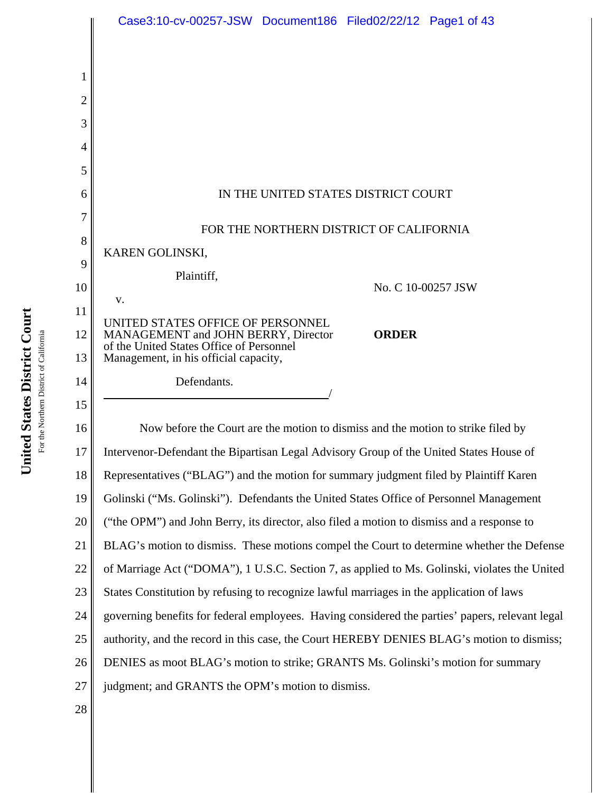|    | Case3:10-cv-00257-JSW Document186 Filed02/22/12 Page1 of 43                                     |
|----|-------------------------------------------------------------------------------------------------|
|    |                                                                                                 |
|    |                                                                                                 |
| 2  |                                                                                                 |
| 3  |                                                                                                 |
| 4  |                                                                                                 |
| 5  |                                                                                                 |
| 6  | IN THE UNITED STATES DISTRICT COURT                                                             |
| 7  | FOR THE NORTHERN DISTRICT OF CALIFORNIA                                                         |
| 8  | KAREN GOLINSKI,                                                                                 |
| 9  | Plaintiff,                                                                                      |
| 10 | No. C 10-00257 JSW<br>V.                                                                        |
| 11 | UNITED STATES OFFICE OF PERSONNEL                                                               |
| 12 | MANAGEMENT and JOHN BERRY, Director<br><b>ORDER</b><br>of the United States Office of Personnel |
| 13 | Management, in his official capacity,                                                           |
| 14 | Defendants.                                                                                     |
| 15 |                                                                                                 |
| 16 | Now before the Court are the motion to dismiss and the motion to strike filed by                |
| 17 | Intervenor-Defendant the Bipartisan Legal Advisory Group of the United States House of          |
| 18 | Representatives ("BLAG") and the motion for summary judgment filed by Plaintiff Karen           |
| 19 | Golinski ("Ms. Golinski"). Defendants the United States Office of Personnel Management          |
| 20 | ("the OPM") and John Berry, its director, also filed a motion to dismiss and a response to      |
| 21 | BLAG's motion to dismiss. These motions compel the Court to determine whether the Defense       |
| 22 | of Marriage Act ("DOMA"), 1 U.S.C. Section 7, as applied to Ms. Golinski, violates the United   |
| 23 | States Constitution by refusing to recognize lawful marriages in the application of laws        |
| 24 | governing benefits for federal employees. Having considered the parties' papers, relevant legal |
| 25 | authority, and the record in this case, the Court HEREBY DENIES BLAG's motion to dismiss;       |
| 26 | DENIES as moot BLAG's motion to strike; GRANTS Ms. Golinski's motion for summary                |
| 27 | judgment; and GRANTS the OPM's motion to dismiss.                                               |
| 28 |                                                                                                 |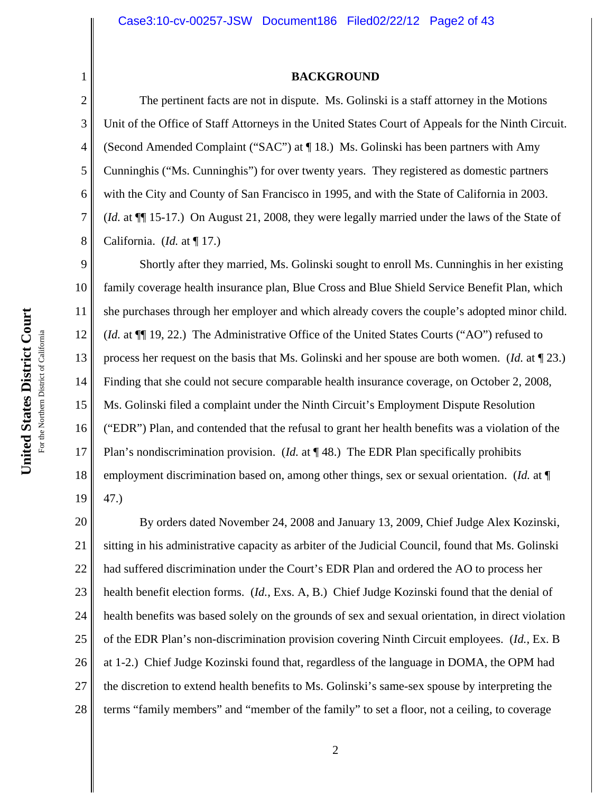#### **BACKGROUND**

The pertinent facts are not in dispute. Ms. Golinski is a staff attorney in the Motions Unit of the Office of Staff Attorneys in the United States Court of Appeals for the Ninth Circuit. (Second Amended Complaint ("SAC") at ¶ 18.) Ms. Golinski has been partners with Amy Cunninghis ("Ms. Cunninghis") for over twenty years. They registered as domestic partners with the City and County of San Francisco in 1995, and with the State of California in 2003. (*Id.* at ¶¶ 15-17.) On August 21, 2008, they were legally married under the laws of the State of California. (*Id.* at ¶ 17.)

9 10 11 12 13 14 15 16 17 18 19 Shortly after they married, Ms. Golinski sought to enroll Ms. Cunninghis in her existing family coverage health insurance plan, Blue Cross and Blue Shield Service Benefit Plan, which she purchases through her employer and which already covers the couple's adopted minor child. (*Id.* at  $\P$ [ 19, 22.) The Administrative Office of the United States Courts ("AO") refused to process her request on the basis that Ms. Golinski and her spouse are both women. (*Id.* at ¶ 23.) Finding that she could not secure comparable health insurance coverage, on October 2, 2008, Ms. Golinski filed a complaint under the Ninth Circuit's Employment Dispute Resolution ("EDR") Plan, and contended that the refusal to grant her health benefits was a violation of the Plan's nondiscrimination provision. (*Id.* at ¶ 48.) The EDR Plan specifically prohibits employment discrimination based on, among other things, sex or sexual orientation. (*Id.* at ¶ 47.)

20 21 22 23 24 25 26 27 28 By orders dated November 24, 2008 and January 13, 2009, Chief Judge Alex Kozinski, sitting in his administrative capacity as arbiter of the Judicial Council, found that Ms. Golinski had suffered discrimination under the Court's EDR Plan and ordered the AO to process her health benefit election forms. (*Id.*, Exs. A, B.) Chief Judge Kozinski found that the denial of health benefits was based solely on the grounds of sex and sexual orientation, in direct violation of the EDR Plan's non-discrimination provision covering Ninth Circuit employees. (*Id.*, Ex. B at 1-2.) Chief Judge Kozinski found that, regardless of the language in DOMA, the OPM had the discretion to extend health benefits to Ms. Golinski's same-sex spouse by interpreting the terms "family members" and "member of the family" to set a floor, not a ceiling, to coverage

1

2

3

4

5

6

7

8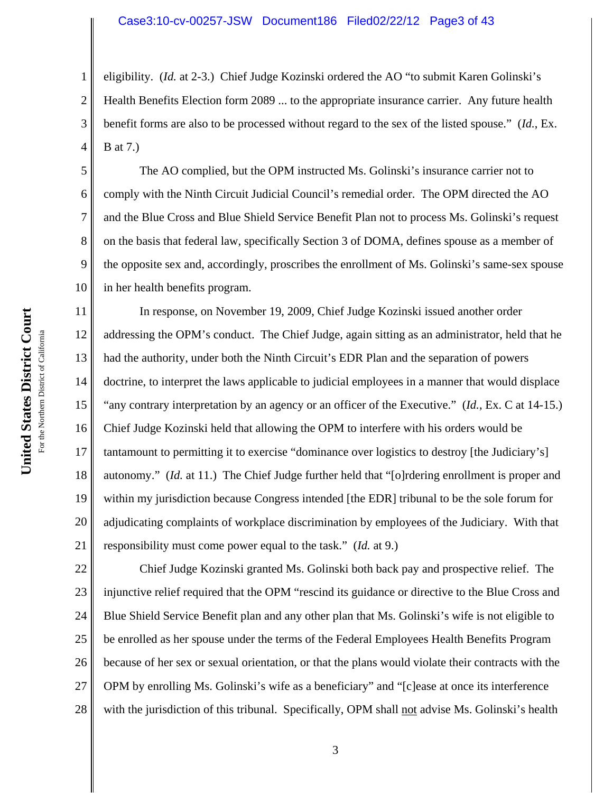#### Case3:10-cv-00257-JSW Document186 Filed02/22/12 Page3 of 43

eligibility. (*Id.* at 2-3.) Chief Judge Kozinski ordered the AO "to submit Karen Golinski's Health Benefits Election form 2089 ... to the appropriate insurance carrier. Any future health benefit forms are also to be processed without regard to the sex of the listed spouse." (*Id.*, Ex. B at 7.)

The AO complied, but the OPM instructed Ms. Golinski's insurance carrier not to comply with the Ninth Circuit Judicial Council's remedial order. The OPM directed the AO and the Blue Cross and Blue Shield Service Benefit Plan not to process Ms. Golinski's request on the basis that federal law, specifically Section 3 of DOMA, defines spouse as a member of the opposite sex and, accordingly, proscribes the enrollment of Ms. Golinski's same-sex spouse in her health benefits program.

11 12 13 14 15 16 17 18 19 20 21 In response, on November 19, 2009, Chief Judge Kozinski issued another order addressing the OPM's conduct. The Chief Judge, again sitting as an administrator, held that he had the authority, under both the Ninth Circuit's EDR Plan and the separation of powers doctrine, to interpret the laws applicable to judicial employees in a manner that would displace "any contrary interpretation by an agency or an officer of the Executive." (*Id.*, Ex. C at 14-15.) Chief Judge Kozinski held that allowing the OPM to interfere with his orders would be tantamount to permitting it to exercise "dominance over logistics to destroy [the Judiciary's] autonomy." (*Id.* at 11.) The Chief Judge further held that "[o]rdering enrollment is proper and within my jurisdiction because Congress intended [the EDR] tribunal to be the sole forum for adjudicating complaints of workplace discrimination by employees of the Judiciary. With that responsibility must come power equal to the task." (*Id.* at 9.)

22 23 24 25 26 27 28 Chief Judge Kozinski granted Ms. Golinski both back pay and prospective relief. The injunctive relief required that the OPM "rescind its guidance or directive to the Blue Cross and Blue Shield Service Benefit plan and any other plan that Ms. Golinski's wife is not eligible to be enrolled as her spouse under the terms of the Federal Employees Health Benefits Program because of her sex or sexual orientation, or that the plans would violate their contracts with the OPM by enrolling Ms. Golinski's wife as a beneficiary" and "[c]ease at once its interference with the jurisdiction of this tribunal. Specifically, OPM shall not advise Ms. Golinski's health

1

2

3

4

5

6

7

8

9

10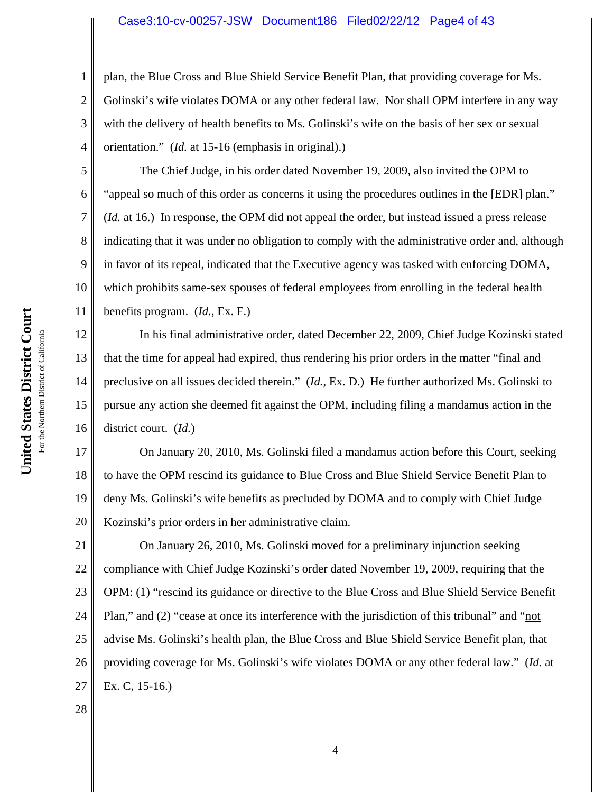#### Case3:10-cv-00257-JSW Document186 Filed02/22/12 Page4 of 43

plan, the Blue Cross and Blue Shield Service Benefit Plan, that providing coverage for Ms. Golinski's wife violates DOMA or any other federal law. Nor shall OPM interfere in any way with the delivery of health benefits to Ms. Golinski's wife on the basis of her sex or sexual orientation." (*Id.* at 15-16 (emphasis in original).)

10 11 The Chief Judge, in his order dated November 19, 2009, also invited the OPM to "appeal so much of this order as concerns it using the procedures outlines in the [EDR] plan." (*Id.* at 16.) In response, the OPM did not appeal the order, but instead issued a press release indicating that it was under no obligation to comply with the administrative order and, although in favor of its repeal, indicated that the Executive agency was tasked with enforcing DOMA, which prohibits same-sex spouses of federal employees from enrolling in the federal health benefits program. (*Id.*, Ex. F.)

12 13 14 15 16 In his final administrative order, dated December 22, 2009, Chief Judge Kozinski stated that the time for appeal had expired, thus rendering his prior orders in the matter "final and preclusive on all issues decided therein." (*Id.*, Ex. D.) He further authorized Ms. Golinski to pursue any action she deemed fit against the OPM, including filing a mandamus action in the district court. (*Id.*)

17 18 19 20 On January 20, 2010, Ms. Golinski filed a mandamus action before this Court, seeking to have the OPM rescind its guidance to Blue Cross and Blue Shield Service Benefit Plan to deny Ms. Golinski's wife benefits as precluded by DOMA and to comply with Chief Judge Kozinski's prior orders in her administrative claim.

21 22 23 24 25 26 27 On January 26, 2010, Ms. Golinski moved for a preliminary injunction seeking compliance with Chief Judge Kozinski's order dated November 19, 2009, requiring that the OPM: (1) "rescind its guidance or directive to the Blue Cross and Blue Shield Service Benefit Plan," and (2) "cease at once its interference with the jurisdiction of this tribunal" and "not advise Ms. Golinski's health plan, the Blue Cross and Blue Shield Service Benefit plan, that providing coverage for Ms. Golinski's wife violates DOMA or any other federal law." (*Id.* at Ex. C, 15-16.)

28

1

2

3

4

5

6

7

8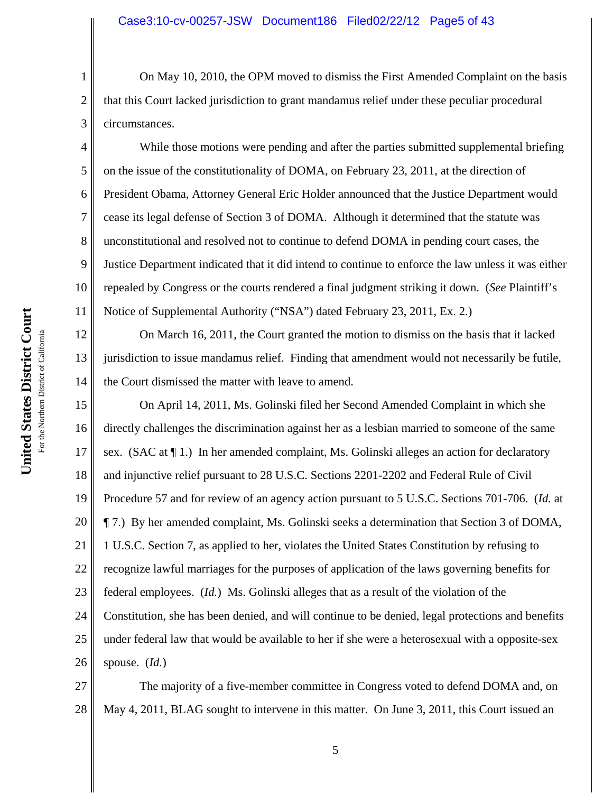On May 10, 2010, the OPM moved to dismiss the First Amended Complaint on the basis that this Court lacked jurisdiction to grant mandamus relief under these peculiar procedural circumstances.

10 While those motions were pending and after the parties submitted supplemental briefing on the issue of the constitutionality of DOMA, on February 23, 2011, at the direction of President Obama, Attorney General Eric Holder announced that the Justice Department would cease its legal defense of Section 3 of DOMA. Although it determined that the statute was unconstitutional and resolved not to continue to defend DOMA in pending court cases, the Justice Department indicated that it did intend to continue to enforce the law unless it was either repealed by Congress or the courts rendered a final judgment striking it down. (*See* Plaintiff's Notice of Supplemental Authority ("NSA") dated February 23, 2011, Ex. 2.)

12 13 14 On March 16, 2011, the Court granted the motion to dismiss on the basis that it lacked jurisdiction to issue mandamus relief. Finding that amendment would not necessarily be futile, the Court dismissed the matter with leave to amend.

15 16 17 18 19 20 21 22 23 24 25 26 On April 14, 2011, Ms. Golinski filed her Second Amended Complaint in which she directly challenges the discrimination against her as a lesbian married to someone of the same sex. (SAC at ¶ 1.) In her amended complaint, Ms. Golinski alleges an action for declaratory and injunctive relief pursuant to 28 U.S.C. Sections 2201-2202 and Federal Rule of Civil Procedure 57 and for review of an agency action pursuant to 5 U.S.C. Sections 701-706. (*Id.* at ¶ 7.) By her amended complaint, Ms. Golinski seeks a determination that Section 3 of DOMA, 1 U.S.C. Section 7, as applied to her, violates the United States Constitution by refusing to recognize lawful marriages for the purposes of application of the laws governing benefits for federal employees. (*Id.*) Ms. Golinski alleges that as a result of the violation of the Constitution, she has been denied, and will continue to be denied, legal protections and benefits under federal law that would be available to her if she were a heterosexual with a opposite-sex spouse. (*Id.*)

27 28 The majority of a five-member committee in Congress voted to defend DOMA and, on May 4, 2011, BLAG sought to intervene in this matter. On June 3, 2011, this Court issued an

1

2

3

4

5

6

7

8

9

11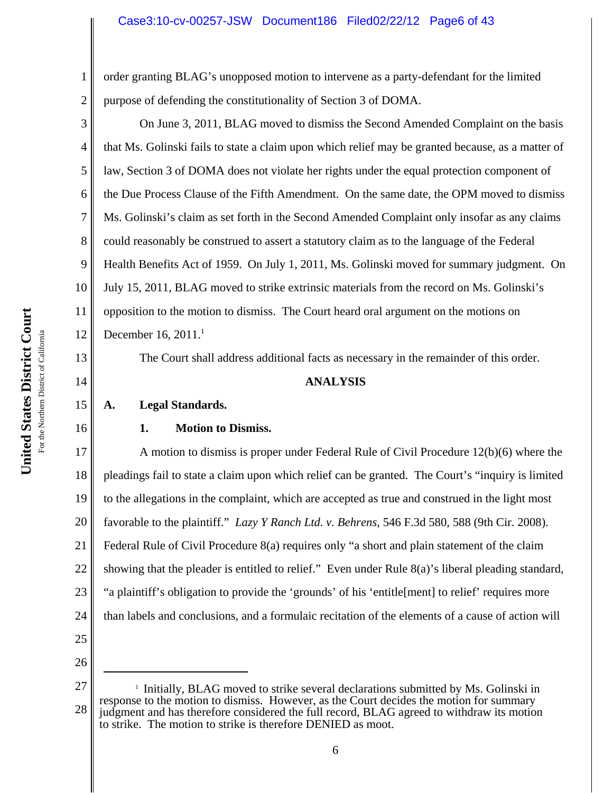order granting BLAG's unopposed motion to intervene as a party-defendant for the limited purpose of defending the constitutionality of Section 3 of DOMA.

3 4 5 6 7 8 9 10 11 12 On June 3, 2011, BLAG moved to dismiss the Second Amended Complaint on the basis that Ms. Golinski fails to state a claim upon which relief may be granted because, as a matter of law, Section 3 of DOMA does not violate her rights under the equal protection component of the Due Process Clause of the Fifth Amendment. On the same date, the OPM moved to dismiss Ms. Golinski's claim as set forth in the Second Amended Complaint only insofar as any claims could reasonably be construed to assert a statutory claim as to the language of the Federal Health Benefits Act of 1959. On July 1, 2011, Ms. Golinski moved for summary judgment. On July 15, 2011, BLAG moved to strike extrinsic materials from the record on Ms. Golinski's opposition to the motion to dismiss. The Court heard oral argument on the motions on December 16,  $2011<sup>1</sup>$ 

The Court shall address additional facts as necessary in the remainder of this order.

# **ANALYSIS**

# **A. Legal Standards.**

# **1. Motion to Dismiss.**

17 18 19 20 21 22 23 24 25 A motion to dismiss is proper under Federal Rule of Civil Procedure 12(b)(6) where the pleadings fail to state a claim upon which relief can be granted. The Court's "inquiry is limited to the allegations in the complaint, which are accepted as true and construed in the light most favorable to the plaintiff." *Lazy Y Ranch Ltd. v. Behrens*, 546 F.3d 580, 588 (9th Cir. 2008). Federal Rule of Civil Procedure 8(a) requires only "a short and plain statement of the claim showing that the pleader is entitled to relief." Even under Rule 8(a)'s liberal pleading standard, "a plaintiff's obligation to provide the 'grounds' of his 'entitle[ment] to relief' requires more than labels and conclusions, and a formulaic recitation of the elements of a cause of action will

26

13

14

15

16

1

<sup>27</sup> 28 <sup>1</sup> Initially, BLAG moved to strike several declarations submitted by Ms. Golinski in response to the motion to dismiss. However, as the Court decides the motion for summary judgment and has therefore considered the full record, BLAG agreed to withdraw its motion to strike. The motion to strike is therefore DENIED as moot.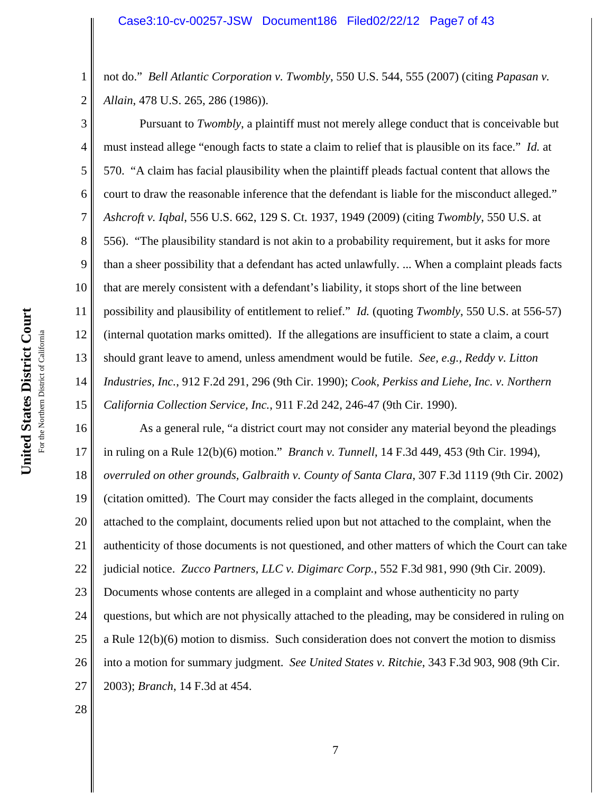1 2 not do." *Bell Atlantic Corporation v. Twombly*, 550 U.S. 544, 555 (2007) (citing *Papasan v. Allain*, 478 U.S. 265, 286 (1986)).

3 4 5 6 7 8 9 10 11 12 13 14 15 Pursuant to *Twombly*, a plaintiff must not merely allege conduct that is conceivable but must instead allege "enough facts to state a claim to relief that is plausible on its face." *Id.* at 570. "A claim has facial plausibility when the plaintiff pleads factual content that allows the court to draw the reasonable inference that the defendant is liable for the misconduct alleged." *Ashcroft v. Iqbal*, 556 U.S. 662, 129 S. Ct. 1937, 1949 (2009) (citing *Twombly*, 550 U.S. at 556). "The plausibility standard is not akin to a probability requirement, but it asks for more than a sheer possibility that a defendant has acted unlawfully. ... When a complaint pleads facts that are merely consistent with a defendant's liability, it stops short of the line between possibility and plausibility of entitlement to relief." *Id.* (quoting *Twombly*, 550 U.S. at 556-57) (internal quotation marks omitted). If the allegations are insufficient to state a claim, a court should grant leave to amend, unless amendment would be futile. *See, e.g., Reddy v. Litton Industries, Inc.*, 912 F.2d 291, 296 (9th Cir. 1990); *Cook, Perkiss and Liehe, Inc. v. Northern California Collection Service, Inc.*, 911 F.2d 242, 246-47 (9th Cir. 1990).

16 17 18 19 20 21 22 23 24 25 26 27 As a general rule, "a district court may not consider any material beyond the pleadings in ruling on a Rule 12(b)(6) motion." *Branch v. Tunnell*, 14 F.3d 449, 453 (9th Cir. 1994), *overruled on other grounds, Galbraith v. County of Santa Clara*, 307 F.3d 1119 (9th Cir. 2002) (citation omitted). The Court may consider the facts alleged in the complaint, documents attached to the complaint, documents relied upon but not attached to the complaint, when the authenticity of those documents is not questioned, and other matters of which the Court can take judicial notice. *Zucco Partners, LLC v. Digimarc Corp.*, 552 F.3d 981, 990 (9th Cir. 2009). Documents whose contents are alleged in a complaint and whose authenticity no party questions, but which are not physically attached to the pleading, may be considered in ruling on a Rule 12(b)(6) motion to dismiss. Such consideration does not convert the motion to dismiss into a motion for summary judgment. *See United States v. Ritchie*, 343 F.3d 903, 908 (9th Cir. 2003); *Branch*, 14 F.3d at 454.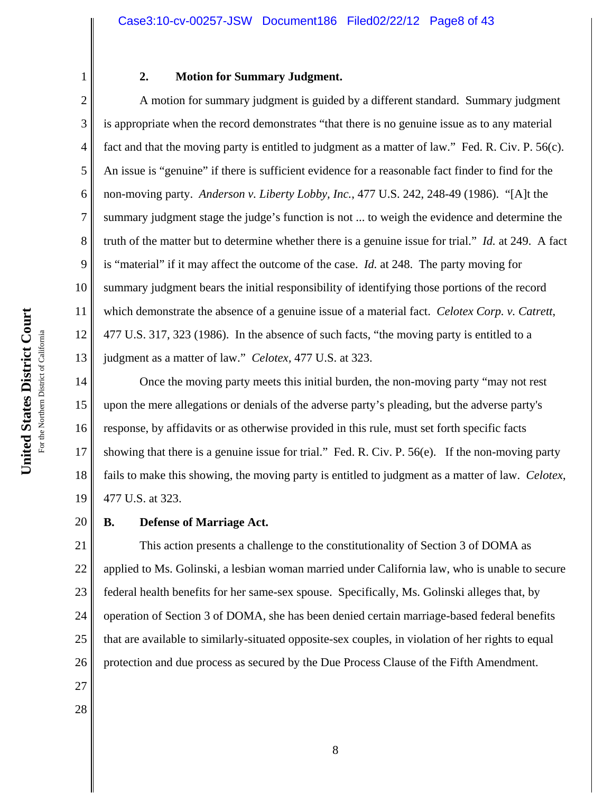United States District Court **United States District Court** For the Northern District of California For the Northern District of California 1

2

3

4

5

6

7

8

9

10

11

12

13

# **2. Motion for Summary Judgment.**

A motion for summary judgment is guided by a different standard. Summary judgment is appropriate when the record demonstrates "that there is no genuine issue as to any material fact and that the moving party is entitled to judgment as a matter of law." Fed. R. Civ. P. 56(c). An issue is "genuine" if there is sufficient evidence for a reasonable fact finder to find for the non-moving party. *Anderson v. Liberty Lobby, Inc.*, 477 U.S. 242, 248-49 (1986). "[A]t the summary judgment stage the judge's function is not ... to weigh the evidence and determine the truth of the matter but to determine whether there is a genuine issue for trial." *Id.* at 249. A fact is "material" if it may affect the outcome of the case. *Id.* at 248. The party moving for summary judgment bears the initial responsibility of identifying those portions of the record which demonstrate the absence of a genuine issue of a material fact. *Celotex Corp. v. Catrett*, 477 U.S. 317, 323 (1986). In the absence of such facts, "the moving party is entitled to a judgment as a matter of law." *Celotex,* 477 U.S. at 323.

14 15 16 17 18 19 Once the moving party meets this initial burden, the non-moving party "may not rest upon the mere allegations or denials of the adverse party's pleading, but the adverse party's response, by affidavits or as otherwise provided in this rule, must set forth specific facts showing that there is a genuine issue for trial." Fed. R. Civ. P. 56(e). If the non-moving party fails to make this showing, the moving party is entitled to judgment as a matter of law. *Celotex*, 477 U.S. at 323.

#### 20 **B. Defense of Marriage Act.**

21 22 23 24 25 26 This action presents a challenge to the constitutionality of Section 3 of DOMA as applied to Ms. Golinski, a lesbian woman married under California law, who is unable to secure federal health benefits for her same-sex spouse. Specifically, Ms. Golinski alleges that, by operation of Section 3 of DOMA, she has been denied certain marriage-based federal benefits that are available to similarly-situated opposite-sex couples, in violation of her rights to equal protection and due process as secured by the Due Process Clause of the Fifth Amendment.

27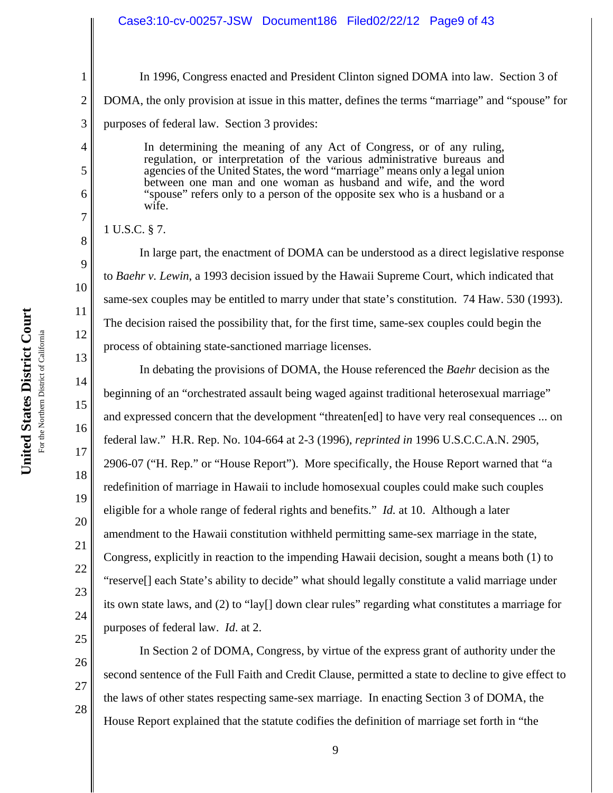In 1996, Congress enacted and President Clinton signed DOMA into law. Section 3 of DOMA, the only provision at issue in this matter, defines the terms "marriage" and "spouse" for purposes of federal law. Section 3 provides:

In determining the meaning of any Act of Congress, or of any ruling, regulation, or interpretation of the various administrative bureaus and agencies of the United States, the word "marriage" means only a legal union between one man and one woman as husband and wife, and the word "spouse" refers only to a person of the opposite sex who is a husband or a wife.

1 U.S.C. § 7.

1

2

3

4

5

6

7

8

9

10

11

12

13

14

15

16

17

18

19

20

21

22

23

In large part, the enactment of DOMA can be understood as a direct legislative response to *Baehr v. Lewin*, a 1993 decision issued by the Hawaii Supreme Court, which indicated that same-sex couples may be entitled to marry under that state's constitution. 74 Haw. 530 (1993). The decision raised the possibility that, for the first time, same-sex couples could begin the process of obtaining state-sanctioned marriage licenses.

In debating the provisions of DOMA, the House referenced the *Baehr* decision as the beginning of an "orchestrated assault being waged against traditional heterosexual marriage" and expressed concern that the development "threaten[ed] to have very real consequences ... on federal law." H.R. Rep. No. 104-664 at 2-3 (1996), *reprinted in* 1996 U.S.C.C.A.N. 2905, 2906-07 ("H. Rep." or "House Report"). More specifically, the House Report warned that "a redefinition of marriage in Hawaii to include homosexual couples could make such couples eligible for a whole range of federal rights and benefits." *Id.* at 10. Although a later amendment to the Hawaii constitution withheld permitting same-sex marriage in the state, Congress, explicitly in reaction to the impending Hawaii decision, sought a means both (1) to "reserve[] each State's ability to decide" what should legally constitute a valid marriage under its own state laws, and (2) to "lay[] down clear rules" regarding what constitutes a marriage for purposes of federal law. *Id*. at 2.

In Section 2 of DOMA, Congress, by virtue of the express grant of authority under the second sentence of the Full Faith and Credit Clause, permitted a state to decline to give effect to the laws of other states respecting same-sex marriage. In enacting Section 3 of DOMA, the House Report explained that the statute codifies the definition of marriage set forth in "the

**United States District Court**

United States District Court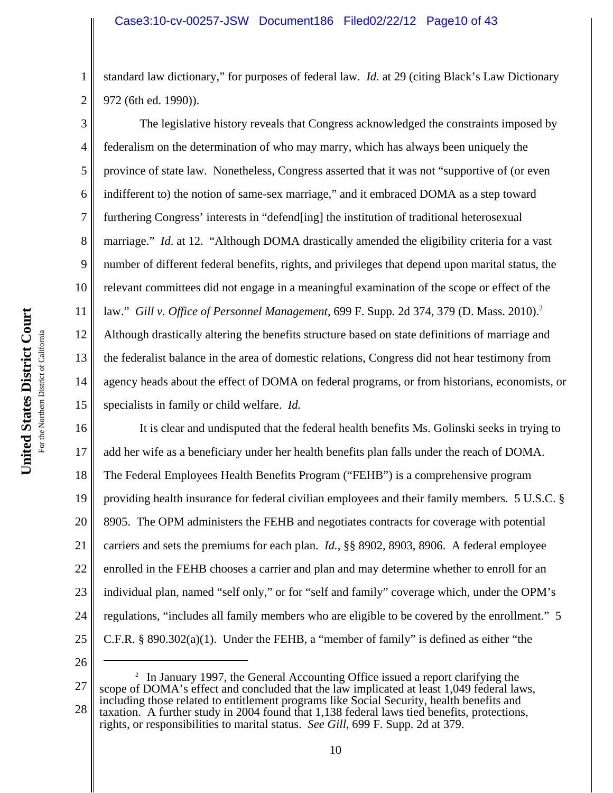2 standard law dictionary," for purposes of federal law. *Id.* at 29 (citing Black's Law Dictionary 972 (6th ed. 1990)).

3 4 5 6 7 8 9 10 11 12 13 14 15 The legislative history reveals that Congress acknowledged the constraints imposed by federalism on the determination of who may marry, which has always been uniquely the province of state law. Nonetheless, Congress asserted that it was not "supportive of (or even indifferent to) the notion of same-sex marriage," and it embraced DOMA as a step toward furthering Congress' interests in "defend[ing] the institution of traditional heterosexual marriage." *Id.* at 12. "Although DOMA drastically amended the eligibility criteria for a vast number of different federal benefits, rights, and privileges that depend upon marital status, the relevant committees did not engage in a meaningful examination of the scope or effect of the law." *Gill v. Office of Personnel Management*, 699 F. Supp. 2d 374, 379 (D. Mass. 2010).<sup>2</sup> Although drastically altering the benefits structure based on state definitions of marriage and the federalist balance in the area of domestic relations, Congress did not hear testimony from agency heads about the effect of DOMA on federal programs, or from historians, economists, or specialists in family or child welfare. *Id.* 

16 17 18 19 20 21 22 23 24 25 It is clear and undisputed that the federal health benefits Ms. Golinski seeks in trying to add her wife as a beneficiary under her health benefits plan falls under the reach of DOMA. The Federal Employees Health Benefits Program ("FEHB") is a comprehensive program providing health insurance for federal civilian employees and their family members. 5 U.S.C. § 8905. The OPM administers the FEHB and negotiates contracts for coverage with potential carriers and sets the premiums for each plan. *Id.*, §§ 8902, 8903, 8906. A federal employee enrolled in the FEHB chooses a carrier and plan and may determine whether to enroll for an individual plan, named "self only," or for "self and family" coverage which, under the OPM's regulations, "includes all family members who are eligible to be covered by the enrollment." 5 C.F.R. § 890.302(a)(1). Under the FEHB, a "member of family" is defined as either "the

26

<sup>27</sup> 28 <sup>2</sup> In January 1997, the General Accounting Office issued a report clarifying the scope of DOMA's effect and concluded that the law implicated at least 1,049 federal laws, including those related to entitlement programs like Social Security, health benefits and taxation. A further study in 2004 found that 1,138 federal laws tied benefits, protections, rights, or responsibilities to marital status. *See Gill*, 699 F. Supp. 2d at 379.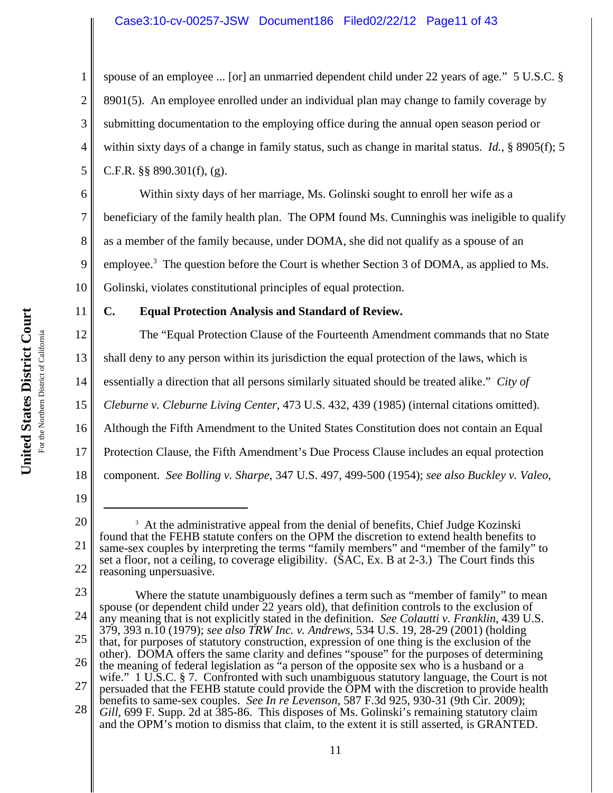# Case3:10-cv-00257-JSW Document186 Filed02/22/12 Page11 of 43

1 2 3 4 5 spouse of an employee ... [or] an unmarried dependent child under 22 years of age." 5 U.S.C. § 8901(5). An employee enrolled under an individual plan may change to family coverage by submitting documentation to the employing office during the annual open season period or within sixty days of a change in family status, such as change in marital status. *Id.*, § 8905(f); 5 C.F.R. §§ 890.301(f), (g).

6 7 8 9 10 Within sixty days of her marriage, Ms. Golinski sought to enroll her wife as a beneficiary of the family health plan. The OPM found Ms. Cunninghis was ineligible to qualify as a member of the family because, under DOMA, she did not qualify as a spouse of an employee.<sup>3</sup> The question before the Court is whether Section 3 of DOMA, as applied to Ms. Golinski, violates constitutional principles of equal protection.

# **C. Equal Protection Analysis and Standard of Review.**

12 13 14 15 16 17 18 The "Equal Protection Clause of the Fourteenth Amendment commands that no State shall deny to any person within its jurisdiction the equal protection of the laws, which is essentially a direction that all persons similarly situated should be treated alike." *City of Cleburne v. Cleburne Living Center*, 473 U.S. 432, 439 (1985) (internal citations omitted). Although the Fifth Amendment to the United States Constitution does not contain an Equal Protection Clause, the Fifth Amendment's Due Process Clause includes an equal protection component. *See Bolling v. Sharpe*, 347 U.S. 497, 499-500 (1954); *see also Buckley v. Valeo*,

19

<sup>20</sup> 21 22 <sup>3</sup> At the administrative appeal from the denial of benefits, Chief Judge Kozinski found that the FEHB statute confers on the OPM the discretion to extend health benefits to same-sex couples by interpreting the terms "family members" and "member of the family" to set a floor, not a ceiling, to coverage eligibility. (SAC, Ex. B at 2-3.) The Court finds this reasoning unpersuasive.

<sup>23</sup> 24 25 26 27 28 Where the statute unambiguously defines a term such as "member of family" to mean spouse (or dependent child under 22 years old), that definition controls to the exclusion of any meaning that is not explicitly stated in the definition. *See Colautti v. Franklin*, 439 U.S. 379, 393 n.10 (1979); *see also TRW Inc. v. Andrews*, 534 U.S. 19, 28-29 (2001) (holding that, for purposes of statutory construction, expression of one thing is the exclusion of the other). DOMA offers the same clarity and defines "spouse" for the purposes of determining the meaning of federal legislation as "a person of the opposite sex who is a husband or a wife." 1 U.S.C. § 7. Confronted with such unambiguous statutory language, the Court is not persuaded that the FEHB statute could provide the OPM with the discretion to provide health benefits to same-sex couples. *See In re Levenson*, 587 F.3d 925, 930-31 (9th Cir. 2009); *Gill,* 699 F. Supp. 2d at 385-86. This disposes of Ms. Golinski's remaining statutory claim and the OPM's motion to dismiss that claim, to the extent it is still asserted, is GRANTED.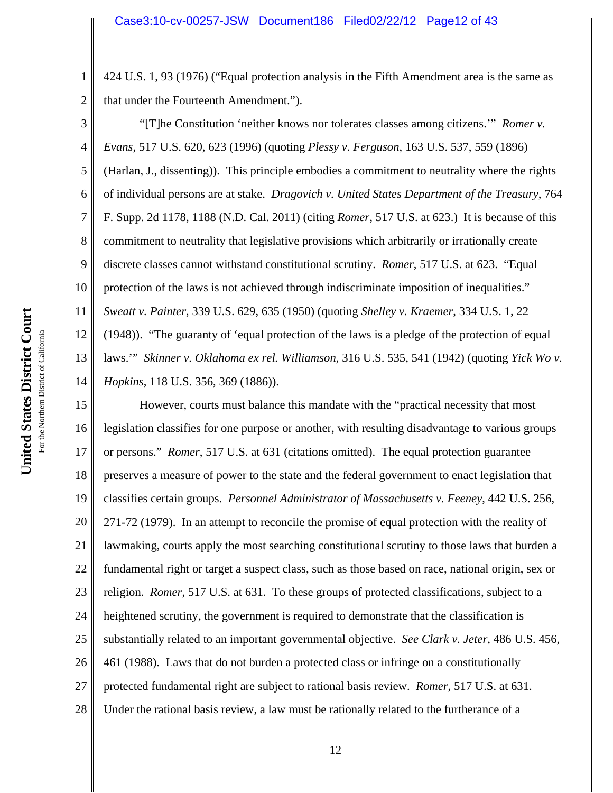424 U.S. 1, 93 (1976) ("Equal protection analysis in the Fifth Amendment area is the same as that under the Fourteenth Amendment.").

3 4 5 6 7 8 9 10 11 12 13 14 "[T]he Constitution 'neither knows nor tolerates classes among citizens.'" *Romer v. Evans*, 517 U.S. 620, 623 (1996) (quoting *Plessy v. Ferguson*, 163 U.S. 537, 559 (1896) (Harlan, J., dissenting)). This principle embodies a commitment to neutrality where the rights of individual persons are at stake. *Dragovich v. United States Department of the Treasury*, 764 F. Supp. 2d 1178, 1188 (N.D. Cal. 2011) (citing *Romer*, 517 U.S. at 623.) It is because of this commitment to neutrality that legislative provisions which arbitrarily or irrationally create discrete classes cannot withstand constitutional scrutiny. *Romer*, 517 U.S. at 623. "Equal protection of the laws is not achieved through indiscriminate imposition of inequalities." *Sweatt v. Painter*, 339 U.S. 629, 635 (1950) (quoting *Shelley v. Kraemer*, 334 U.S. 1, 22 (1948)). "The guaranty of 'equal protection of the laws is a pledge of the protection of equal laws.'" *Skinner v. Oklahoma ex rel. Williamson*, 316 U.S. 535, 541 (1942) (quoting *Yick Wo v. Hopkins*, 118 U.S. 356, 369 (1886)).

15 16 17 18 19 20 21 22 23 24 25 26 27 28 However, courts must balance this mandate with the "practical necessity that most legislation classifies for one purpose or another, with resulting disadvantage to various groups or persons." *Romer*, 517 U.S. at 631 (citations omitted). The equal protection guarantee preserves a measure of power to the state and the federal government to enact legislation that classifies certain groups. *Personnel Administrator of Massachusetts v. Feeney*, 442 U.S. 256, 271-72 (1979). In an attempt to reconcile the promise of equal protection with the reality of lawmaking, courts apply the most searching constitutional scrutiny to those laws that burden a fundamental right or target a suspect class, such as those based on race, national origin, sex or religion. *Romer*, 517 U.S. at 631. To these groups of protected classifications, subject to a heightened scrutiny, the government is required to demonstrate that the classification is substantially related to an important governmental objective. *See Clark v. Jeter*, 486 U.S. 456, 461 (1988). Laws that do not burden a protected class or infringe on a constitutionally protected fundamental right are subject to rational basis review. *Romer*, 517 U.S. at 631. Under the rational basis review, a law must be rationally related to the furtherance of a

1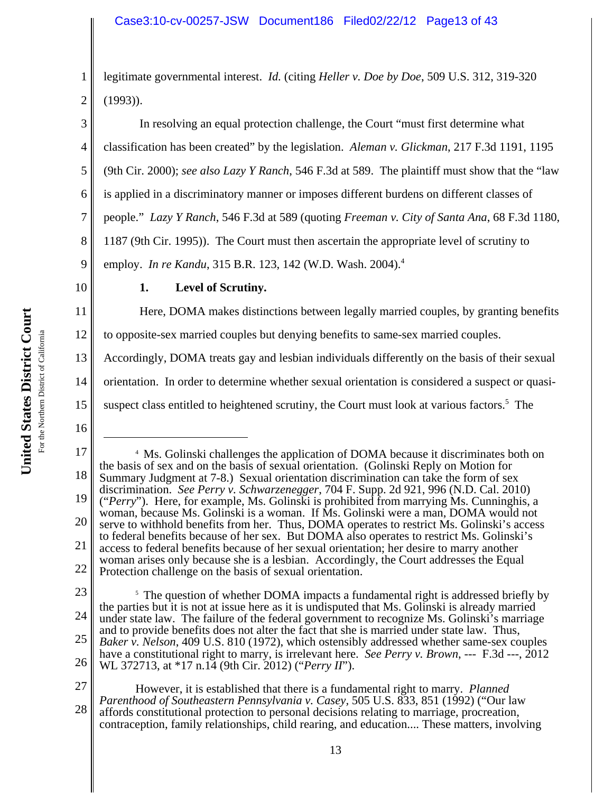legitimate governmental interest. *Id.* (citing *Heller v. Doe by Doe*, 509 U.S. 312, 319-320 (1993)).

3 4 In resolving an equal protection challenge, the Court "must first determine what classification has been created" by the legislation. *Aleman v. Glickman*, 217 F.3d 1191, 1195

5 (9th Cir. 2000); *see also Lazy Y Ranch*, 546 F.3d at 589. The plaintiff must show that the "law

6 is applied in a discriminatory manner or imposes different burdens on different classes of

7 people." *Lazy Y Ranch*, 546 F.3d at 589 (quoting *Freeman v. City of Santa Ana*, 68 F.3d 1180,

8 1187 (9th Cir. 1995)). The Court must then ascertain the appropriate level of scrutiny to

9 employ. *In re Kandu*, 315 B.R. 123, 142 (W.D. Wash. 2004).<sup>4</sup>

10

11

1

2

# **1. Level of Scrutiny.**

Here, DOMA makes distinctions between legally married couples, by granting benefits

12 to opposite-sex married couples but denying benefits to same-sex married couples.

13 Accordingly, DOMA treats gay and lesbian individuals differently on the basis of their sexual

14 orientation. In order to determine whether sexual orientation is considered a suspect or quasi-

15 suspect class entitled to heightened scrutiny, the Court must look at various factors.<sup>5</sup> The

16

- 23
- 24 25 26 <sup>5</sup> The question of whether DOMA impacts a fundamental right is addressed briefly by the parties but it is not at issue here as it is undisputed that Ms. Golinski is already married under state law. The failure of the federal government to recognize Ms. Golinski's marriage and to provide benefits does not alter the fact that she is married under state law. Thus, *Baker v. Nelson*, 409 U.S. 810 (1972), which ostensibly addressed whether same-sex couples have a constitutional right to marry, is irrelevant here. *See Perry v. Brown*, --- F.3d ---, 2012 WL 372713, at \*17 n.14 (9th Cir. 2012) ("*Perry II*").

27 28 However, it is established that there is a fundamental right to marry. *Planned Parenthood of Southeastern Pennsylvania v. Casey,* 505 U.S. 833, 851 (1992) ("Our law affords constitutional protection to personal decisions relating to marriage, procreation, contraception, family relationships, child rearing, and education.... These matters, involving

<sup>17</sup> 18 19 20 21 22 4 Ms. Golinski challenges the application of DOMA because it discriminates both on the basis of sex and on the basis of sexual orientation. (Golinski Reply on Motion for Summary Judgment at 7-8.) Sexual orientation discrimination can take the form of sex discrimination. *See Perry v. Schwarzenegger*, 704 F. Supp. 2d 921, 996 (N.D. Cal. 2010) ("*Perry*"). Here, for example, Ms. Golinski is prohibited from marrying Ms. Cunninghis, a woman, because Ms. Golinski is a woman. If Ms. Golinski were a man, DOMA would not serve to withhold benefits from her. Thus, DOMA operates to restrict Ms. Golinski's access to federal benefits because of her sex. But DOMA also operates to restrict Ms. Golinski's access to federal benefits because of her sexual orientation; her desire to marry another woman arises only because she is a lesbian. Accordingly, the Court addresses the Equal Protection challenge on the basis of sexual orientation.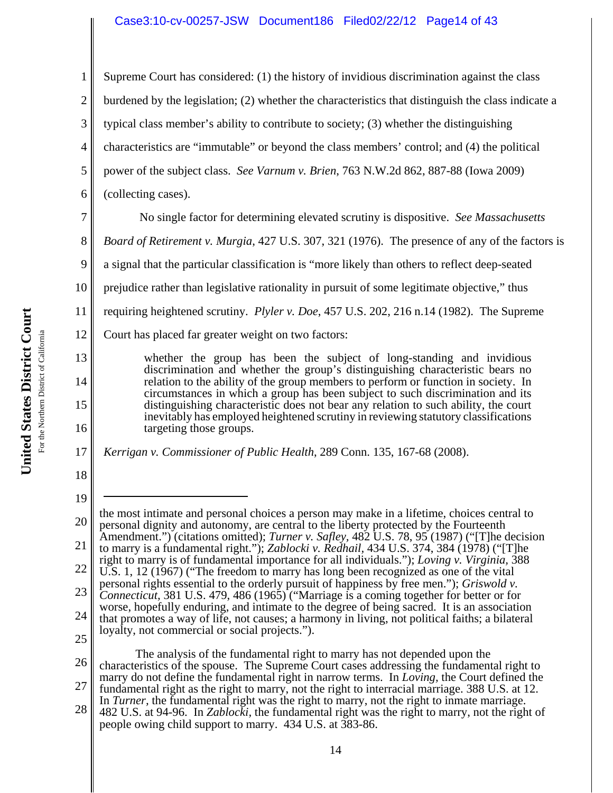# Case3:10-cv-00257-JSW Document186 Filed02/22/12 Page14 of 43

1 2 3 4 5 6 7 8 9 10 11 12 Supreme Court has considered: (1) the history of invidious discrimination against the class burdened by the legislation; (2) whether the characteristics that distinguish the class indicate a typical class member's ability to contribute to society; (3) whether the distinguishing characteristics are "immutable" or beyond the class members' control; and (4) the political power of the subject class. *See Varnum v. Brien*, 763 N.W.2d 862, 887-88 (Iowa 2009) (collecting cases). No single factor for determining elevated scrutiny is dispositive. *See Massachusetts Board of Retirement v. Murgia*, 427 U.S. 307, 321 (1976). The presence of any of the factors is a signal that the particular classification is "more likely than others to reflect deep-seated prejudice rather than legislative rationality in pursuit of some legitimate objective," thus requiring heightened scrutiny. *Plyler v. Doe*, 457 U.S. 202, 216 n.14 (1982). The Supreme Court has placed far greater weight on two factors:

whether the group has been the subject of long-standing and invidious discrimination and whether the group's distinguishing characteristic bears no relation to the ability of the group members to perform or function in society. In circumstances in which a group has been subject to such discrimination and its distinguishing characteristic does not bear any relation to such ability, the court inevitably has employed heightened scrutiny in reviewing statutory classifications targeting those groups.

17 *Kerrigan v. Commissioner of Public Health*, 289 Conn. 135, 167-68 (2008).

20 21 22 23 24 25 the most intimate and personal choices a person may make in a lifetime, choices central to personal dignity and autonomy, are central to the liberty protected by the Fourteenth Amendment.") (citations omitted); *Turner v. Safley,* 482 U.S. 78, 95 (1987) ("[T]he decision to marry is a fundamental right."); *Zablocki v. Redhail,* 434 U.S. 374, 384 (1978) ("[T]he right to marry is of fundamental importance for all individuals."); *Loving v. Virginia,* 388 U.S. 1, 12 (1967) ("The freedom to marry has long been recognized as one of the vital personal rights essential to the orderly pursuit of happiness by free men."); *Griswold v. Connecticut,* 381 U.S. 479, 486 (1965) ("Marriage is a coming together for better or for worse, hopefully enduring, and intimate to the degree of being sacred. It is an association that promotes a way of life, not causes; a harmony in living, not political faiths; a bilateral loyalty, not commercial or social projects."). The analysis of the fundamental right to marry has not depended upon the

26 27 28 characteristics of the spouse. The Supreme Court cases addressing the fundamental right to marry do not define the fundamental right in narrow terms. In *Loving,* the Court defined the fundamental right as the right to marry, not the right to interracial marriage. 388 U.S. at 12. In *Turner,* the fundamental right was the right to marry, not the right to inmate marriage.

482 U.S. at 94-96. In *Zablocki,* the fundamental right was the right to marry, not the right of people owing child support to marry. 434 U.S. at 383-86.

13

14

15

16

18

19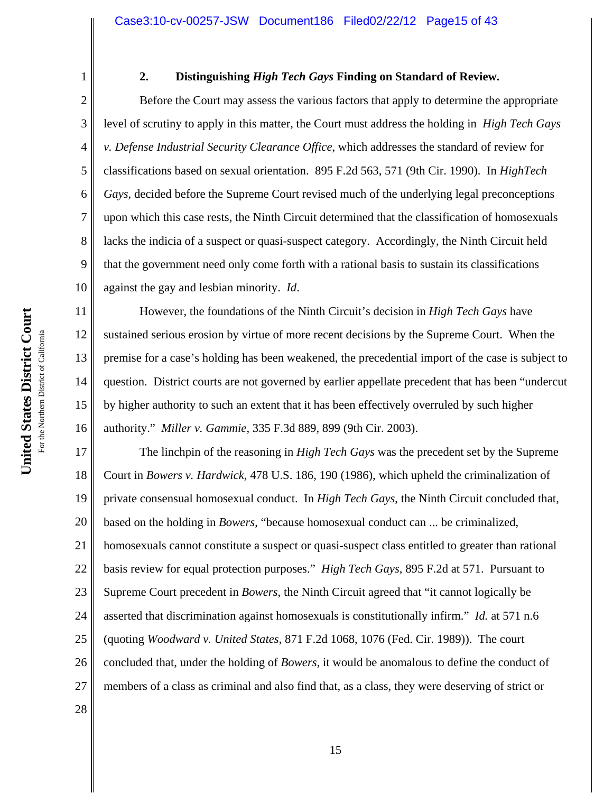For the Northern District of California For the Northern District of California 1

2

3

4

5

6

7

8

9

10

11

12

13

14

15

16

**United States District Court**

United States District Court

# **2. Distinguishing** *High Tech Gays* **Finding on Standard of Review.**

Before the Court may assess the various factors that apply to determine the appropriate level of scrutiny to apply in this matter, the Court must address the holding in *High Tech Gays v. Defense Industrial Security Clearance Office*, which addresses the standard of review for classifications based on sexual orientation. 895 F.2d 563, 571 (9th Cir. 1990). In *HighTech Gays*, decided before the Supreme Court revised much of the underlying legal preconceptions upon which this case rests, the Ninth Circuit determined that the classification of homosexuals lacks the indicia of a suspect or quasi-suspect category. Accordingly, the Ninth Circuit held that the government need only come forth with a rational basis to sustain its classifications against the gay and lesbian minority. *Id*.

However, the foundations of the Ninth Circuit's decision in *High Tech Gays* have sustained serious erosion by virtue of more recent decisions by the Supreme Court. When the premise for a case's holding has been weakened, the precedential import of the case is subject to question. District courts are not governed by earlier appellate precedent that has been "undercut by higher authority to such an extent that it has been effectively overruled by such higher authority." *Miller v. Gammie*, 335 F.3d 889, 899 (9th Cir. 2003).

17 18 19 20 21 22 23 24 25 26 27 The linchpin of the reasoning in *High Tech Gays* was the precedent set by the Supreme Court in *Bowers v. Hardwick*, 478 U.S. 186, 190 (1986), which upheld the criminalization of private consensual homosexual conduct. In *High Tech Gays*, the Ninth Circuit concluded that, based on the holding in *Bowers*, "because homosexual conduct can ... be criminalized, homosexuals cannot constitute a suspect or quasi-suspect class entitled to greater than rational basis review for equal protection purposes." *High Tech Gays*, 895 F.2d at 571. Pursuant to Supreme Court precedent in *Bowers*, the Ninth Circuit agreed that "it cannot logically be asserted that discrimination against homosexuals is constitutionally infirm." *Id.* at 571 n.6 (quoting *Woodward v. United States*, 871 F.2d 1068, 1076 (Fed. Cir. 1989)). The court concluded that, under the holding of *Bowers*, it would be anomalous to define the conduct of members of a class as criminal and also find that, as a class, they were deserving of strict or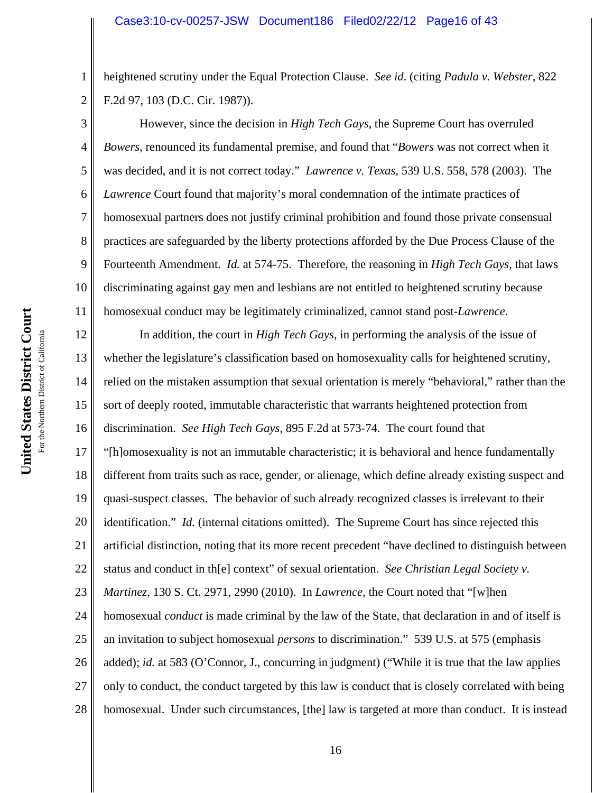2 heightened scrutiny under the Equal Protection Clause. *See id*. (citing *Padula v. Webster*, 822 F.2d 97, 103 (D.C. Cir. 1987)).

3 4 5 6 7 8 9 10 11 However, since the decision in *High Tech Gays*, the Supreme Court has overruled *Bowers*, renounced its fundamental premise, and found that "*Bowers* was not correct when it was decided, and it is not correct today." *Lawrence v. Texas*, 539 U.S. 558, 578 (2003). The *Lawrence* Court found that majority's moral condemnation of the intimate practices of homosexual partners does not justify criminal prohibition and found those private consensual practices are safeguarded by the liberty protections afforded by the Due Process Clause of the Fourteenth Amendment. *Id.* at 574-75. Therefore, the reasoning in *High Tech Gays*, that laws discriminating against gay men and lesbians are not entitled to heightened scrutiny because homosexual conduct may be legitimately criminalized, cannot stand post-*Lawrence*.

12 13 14 15 16 17 18 19 20 21 22 23 24 25 26 27 28 In addition, the court in *High Tech Gays*, in performing the analysis of the issue of whether the legislature's classification based on homosexuality calls for heightened scrutiny, relied on the mistaken assumption that sexual orientation is merely "behavioral," rather than the sort of deeply rooted, immutable characteristic that warrants heightened protection from discrimination. *See High Tech Gays*, 895 F.2d at 573-74. The court found that "[h]omosexuality is not an immutable characteristic; it is behavioral and hence fundamentally different from traits such as race, gender, or alienage, which define already existing suspect and quasi-suspect classes. The behavior of such already recognized classes is irrelevant to their identification." *Id.* (internal citations omitted). The Supreme Court has since rejected this artificial distinction, noting that its more recent precedent "have declined to distinguish between status and conduct in th[e] context" of sexual orientation. *See Christian Legal Society v. Martinez,* 130 S. Ct. 2971, 2990 (2010). In *Lawrence,* the Court noted that "[w]hen homosexual *conduct* is made criminal by the law of the State, that declaration in and of itself is an invitation to subject homosexual *persons* to discrimination." 539 U.S. at 575 (emphasis added); *id.* at 583 (O'Connor, J., concurring in judgment) ("While it is true that the law applies only to conduct, the conduct targeted by this law is conduct that is closely correlated with being homosexual. Under such circumstances, [the] law is targeted at more than conduct. It is instead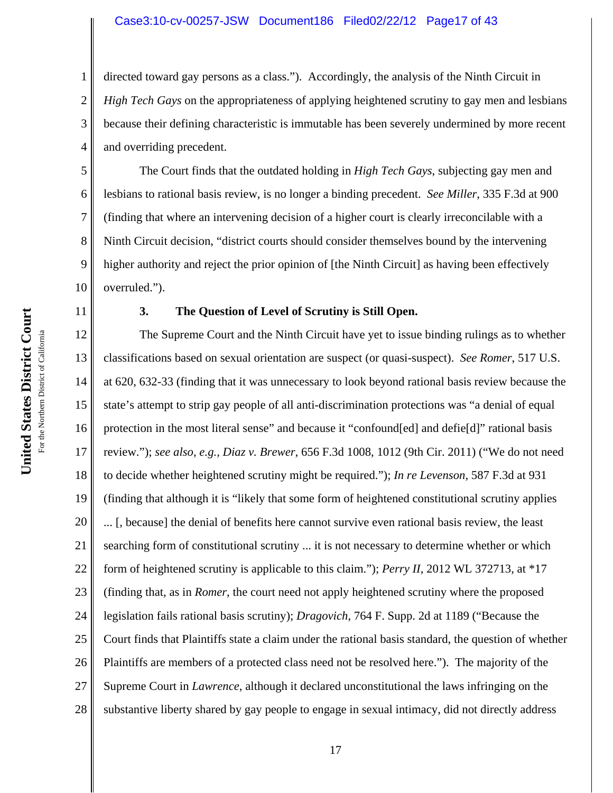#### Case3:10-cv-00257-JSW Document186 Filed02/22/12 Page17 of 43

3 4 directed toward gay persons as a class."). Accordingly, the analysis of the Ninth Circuit in *High Tech Gays* on the appropriateness of applying heightened scrutiny to gay men and lesbians because their defining characteristic is immutable has been severely undermined by more recent and overriding precedent.

The Court finds that the outdated holding in *High Tech Gays*, subjecting gay men and lesbians to rational basis review, is no longer a binding precedent. *See Miller*, 335 F.3d at 900 (finding that where an intervening decision of a higher court is clearly irreconcilable with a Ninth Circuit decision, "district courts should consider themselves bound by the intervening higher authority and reject the prior opinion of [the Ninth Circuit] as having been effectively overruled.").

1

2

5

6

7

8

9

10

11

# **3. The Question of Level of Scrutiny is Still Open.**

12 13 14 15 16 17 18 19 20 21 22 23 24 25 26 27 28 The Supreme Court and the Ninth Circuit have yet to issue binding rulings as to whether classifications based on sexual orientation are suspect (or quasi-suspect). *See Romer*, 517 U.S. at 620, 632-33 (finding that it was unnecessary to look beyond rational basis review because the state's attempt to strip gay people of all anti-discrimination protections was "a denial of equal protection in the most literal sense" and because it "confound[ed] and defie[d]" rational basis review."); *see also, e.g., Diaz v. Brewer*, 656 F.3d 1008, 1012 (9th Cir. 2011) ("We do not need to decide whether heightened scrutiny might be required."); *In re Levenson*, 587 F.3d at 931 (finding that although it is "likely that some form of heightened constitutional scrutiny applies ... [, because] the denial of benefits here cannot survive even rational basis review, the least searching form of constitutional scrutiny ... it is not necessary to determine whether or which form of heightened scrutiny is applicable to this claim."); *Perry II*, 2012 WL 372713, at \*17 (finding that, as in *Romer*, the court need not apply heightened scrutiny where the proposed legislation fails rational basis scrutiny); *Dragovich*, 764 F. Supp. 2d at 1189 ("Because the Court finds that Plaintiffs state a claim under the rational basis standard, the question of whether Plaintiffs are members of a protected class need not be resolved here."). The majority of the Supreme Court in *Lawrence*, although it declared unconstitutional the laws infringing on the substantive liberty shared by gay people to engage in sexual intimacy, did not directly address

United States District Court **United States District Court** For the Northern District of California For the Northern District of California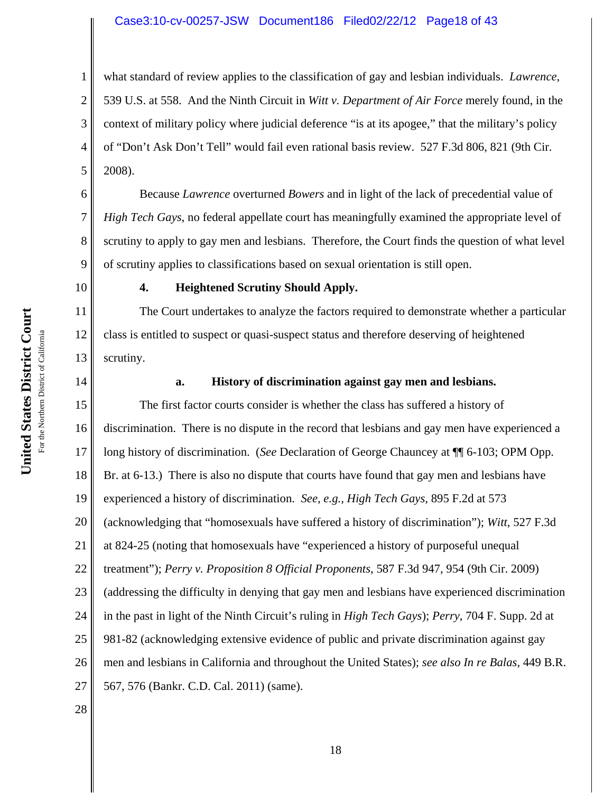# Case3:10-cv-00257-JSW Document186 Filed02/22/12 Page18 of 43

3 4 what standard of review applies to the classification of gay and lesbian individuals. *Lawrence*, 539 U.S. at 558. And the Ninth Circuit in *Witt v. Department of Air Force* merely found, in the context of military policy where judicial deference "is at its apogee," that the military's policy of "Don't Ask Don't Tell" would fail even rational basis review. 527 F.3d 806, 821 (9th Cir. 2008).

Because *Lawrence* overturned *Bowers* and in light of the lack of precedential value of *High Tech Gays*, no federal appellate court has meaningfully examined the appropriate level of scrutiny to apply to gay men and lesbians. Therefore, the Court finds the question of what level of scrutiny applies to classifications based on sexual orientation is still open.

10

11

12

13

1

2

5

6

7

8

9

#### **4. Heightened Scrutiny Should Apply.**

The Court undertakes to analyze the factors required to demonstrate whether a particular class is entitled to suspect or quasi-suspect status and therefore deserving of heightened scrutiny.

14

28

#### **a. History of discrimination against gay men and lesbians.**

15 16 17 18 19 20 21 22 23 24 25 26 27 The first factor courts consider is whether the class has suffered a history of discrimination. There is no dispute in the record that lesbians and gay men have experienced a long history of discrimination. (*See* Declaration of George Chauncey at ¶¶ 6-103; OPM Opp. Br. at 6-13.) There is also no dispute that courts have found that gay men and lesbians have experienced a history of discrimination. *See, e.g., High Tech Gays*, 895 F.2d at 573 (acknowledging that "homosexuals have suffered a history of discrimination"); *Witt*, 527 F.3d at 824-25 (noting that homosexuals have "experienced a history of purposeful unequal treatment"); *Perry v. Proposition 8 Official Proponents*, 587 F.3d 947, 954 (9th Cir. 2009) (addressing the difficulty in denying that gay men and lesbians have experienced discrimination in the past in light of the Ninth Circuit's ruling in *High Tech Gays*); *Perry*, 704 F. Supp. 2d at 981-82 (acknowledging extensive evidence of public and private discrimination against gay men and lesbians in California and throughout the United States); *see also In re Balas*, 449 B.R. 567, 576 (Bankr. C.D. Cal. 2011) (same).

United States District Court **United States District Court** For the Northern District of California For the Northern District of California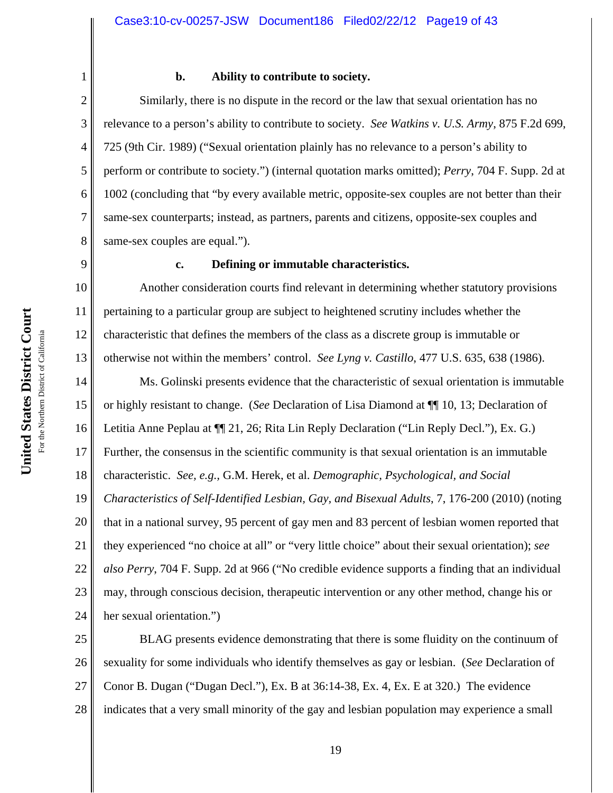# 2 3 4 5

6

7

1

### **b. Ability to contribute to society.**

8 Similarly, there is no dispute in the record or the law that sexual orientation has no relevance to a person's ability to contribute to society. *See Watkins v. U.S. Army*, 875 F.2d 699, 725 (9th Cir. 1989) ("Sexual orientation plainly has no relevance to a person's ability to perform or contribute to society.") (internal quotation marks omitted); *Perry*, 704 F. Supp. 2d at 1002 (concluding that "by every available metric, opposite-sex couples are not better than their same-sex counterparts; instead, as partners, parents and citizens, opposite-sex couples and same-sex couples are equal.").

9

11

12

# **c. Defining or immutable characteristics.**

10 13 Another consideration courts find relevant in determining whether statutory provisions pertaining to a particular group are subject to heightened scrutiny includes whether the characteristic that defines the members of the class as a discrete group is immutable or otherwise not within the members' control. *See Lyng v. Castillo*, 477 U.S. 635, 638 (1986).

14 15 16 17 18 19 20 21 22 23 24 Ms. Golinski presents evidence that the characteristic of sexual orientation is immutable or highly resistant to change. (*See* Declaration of Lisa Diamond at ¶¶ 10, 13; Declaration of Letitia Anne Peplau at ¶¶ 21, 26; Rita Lin Reply Declaration ("Lin Reply Decl."), Ex. G.) Further, the consensus in the scientific community is that sexual orientation is an immutable characteristic. *See, e.g.,* G.M. Herek, et al. *Demographic, Psychological, and Social Characteristics of Self-Identified Lesbian, Gay, and Bisexual Adults*, 7, 176-200 (2010) (noting that in a national survey, 95 percent of gay men and 83 percent of lesbian women reported that they experienced "no choice at all" or "very little choice" about their sexual orientation); *see also Perry*, 704 F. Supp. 2d at 966 ("No credible evidence supports a finding that an individual may, through conscious decision, therapeutic intervention or any other method, change his or her sexual orientation.")

25 26 27 28 BLAG presents evidence demonstrating that there is some fluidity on the continuum of sexuality for some individuals who identify themselves as gay or lesbian. (*See* Declaration of Conor B. Dugan ("Dugan Decl."), Ex. B at 36:14-38, Ex. 4, Ex. E at 320.) The evidence indicates that a very small minority of the gay and lesbian population may experience a small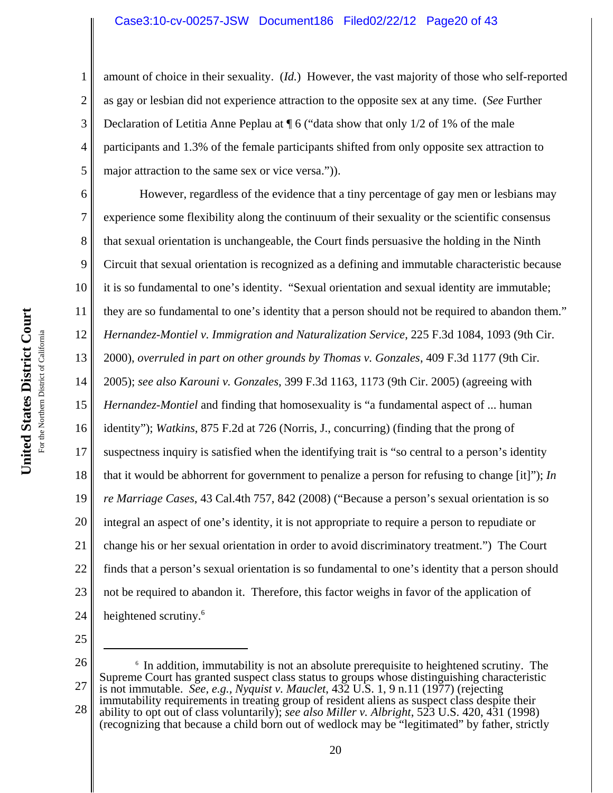### Case3:10-cv-00257-JSW Document186 Filed02/22/12 Page20 of 43

amount of choice in their sexuality. (*Id.*) However, the vast majority of those who self-reported as gay or lesbian did not experience attraction to the opposite sex at any time. (*See* Further Declaration of Letitia Anne Peplau at  $\P 6$  ("data show that only 1/2 of 1% of the male participants and 1.3% of the female participants shifted from only opposite sex attraction to major attraction to the same sex or vice versa.")).

6 7 8 9 10 11 12 13 14 15 16 17 18 19 20 21 22 23 24 However, regardless of the evidence that a tiny percentage of gay men or lesbians may experience some flexibility along the continuum of their sexuality or the scientific consensus that sexual orientation is unchangeable, the Court finds persuasive the holding in the Ninth Circuit that sexual orientation is recognized as a defining and immutable characteristic because it is so fundamental to one's identity. "Sexual orientation and sexual identity are immutable; they are so fundamental to one's identity that a person should not be required to abandon them." *Hernandez-Montiel v. Immigration and Naturalization Service*, 225 F.3d 1084, 1093 (9th Cir. 2000), *overruled in part on other grounds by Thomas v. Gonzales*, 409 F.3d 1177 (9th Cir. 2005); *see also Karouni v. Gonzales*, 399 F.3d 1163, 1173 (9th Cir. 2005) (agreeing with *Hernandez-Montiel* and finding that homosexuality is "a fundamental aspect of ... human identity"); *Watkins*, 875 F.2d at 726 (Norris, J., concurring) (finding that the prong of suspectness inquiry is satisfied when the identifying trait is "so central to a person's identity that it would be abhorrent for government to penalize a person for refusing to change [it]"); *In re Marriage Cases*, 43 Cal.4th 757, 842 (2008) ("Because a person's sexual orientation is so integral an aspect of one's identity, it is not appropriate to require a person to repudiate or change his or her sexual orientation in order to avoid discriminatory treatment.") The Court finds that a person's sexual orientation is so fundamental to one's identity that a person should not be required to abandon it. Therefore, this factor weighs in favor of the application of heightened scrutiny.<sup>6</sup>

25

26 27 28 <sup>6</sup> In addition, immutability is not an absolute prerequisite to heightened scrutiny. The Supreme Court has granted suspect class status to groups whose distinguishing characteristic is not immutable. *See, e.g., Nyquist v. Mauclet*, 432 U.S. 1, 9 n.11 (1977) (rejecting immutability requirements in treating group of resident aliens as suspect class despite their ability to opt out of class voluntarily); *see also Miller v. Albright*, 523 U.S. 420, 431 (1998) (recognizing that because a child born out of wedlock may be "legitimated" by father, strictly

1

2

3

4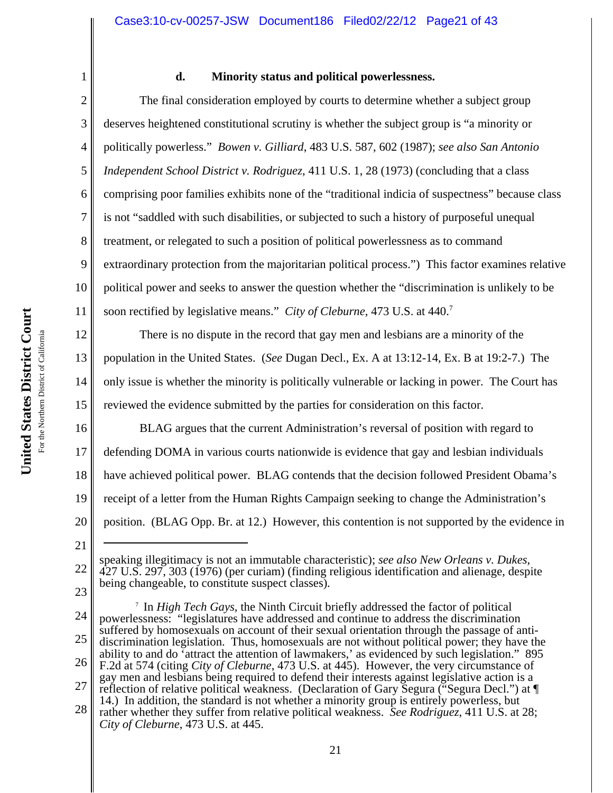United States District Court **United States District Court** For the Northern District of California For the Northern District of California

21

1

**d. Minority status and political powerlessness.** The final consideration employed by courts to determine whether a subject group

2 3 4 5 6 7 8 9 10 11 12 13 14 deserves heightened constitutional scrutiny is whether the subject group is "a minority or politically powerless." *Bowen v. Gilliard*, 483 U.S. 587, 602 (1987); *see also San Antonio Independent School District v. Rodriguez*, 411 U.S. 1, 28 (1973) (concluding that a class comprising poor families exhibits none of the "traditional indicia of suspectness" because class is not "saddled with such disabilities, or subjected to such a history of purposeful unequal treatment, or relegated to such a position of political powerlessness as to command extraordinary protection from the majoritarian political process.") This factor examines relative political power and seeks to answer the question whether the "discrimination is unlikely to be soon rectified by legislative means." *City of Cleburne*, 473 U.S. at 440.7 There is no dispute in the record that gay men and lesbians are a minority of the population in the United States. (*See* Dugan Decl., Ex. A at 13:12-14, Ex. B at 19:2-7.) The only issue is whether the minority is politically vulnerable or lacking in power. The Court has

15 reviewed the evidence submitted by the parties for consideration on this factor.

16 17 18 19 20 BLAG argues that the current Administration's reversal of position with regard to defending DOMA in various courts nationwide is evidence that gay and lesbian individuals have achieved political power. BLAG contends that the decision followed President Obama's receipt of a letter from the Human Rights Campaign seeking to change the Administration's position. (BLAG Opp. Br. at 12.) However, this contention is not supported by the evidence in

<sup>22</sup> 23 speaking illegitimacy is not an immutable characteristic); *see also New Orleans v. Dukes*, 427 U.S. 297, 303 (1976) (per curiam) (finding religious identification and alienage, despite being changeable, to constitute suspect classes)*.*

<sup>24</sup> 25 26 27 28 7 In *High Tech Gays,* the Ninth Circuit briefly addressed the factor of political powerlessness: "legislatures have addressed and continue to address the discrimination suffered by homosexuals on account of their sexual orientation through the passage of antidiscrimination legislation. Thus, homosexuals are not without political power; they have the ability to and do <sup>t</sup>attract the attention of lawmakers,' as evidenced by such legislation." 895 F.2d at 574 (citing *City of Cleburne*, 473 U.S. at 445). However, the very circumstance of gay men and lesbians being required to defend their interests against legislative action is a reflection of relative political weakness. (Declaration of Gary Segura ("Segura Decl.") at  $\P$ 14.) In addition, the standard is not whether a minority group is entirely powerless, but rather whether they suffer from relative political weakness. *See Rodriguez*, 411 U.S. at 28; *City of Cleburne*, 473 U.S. at 445.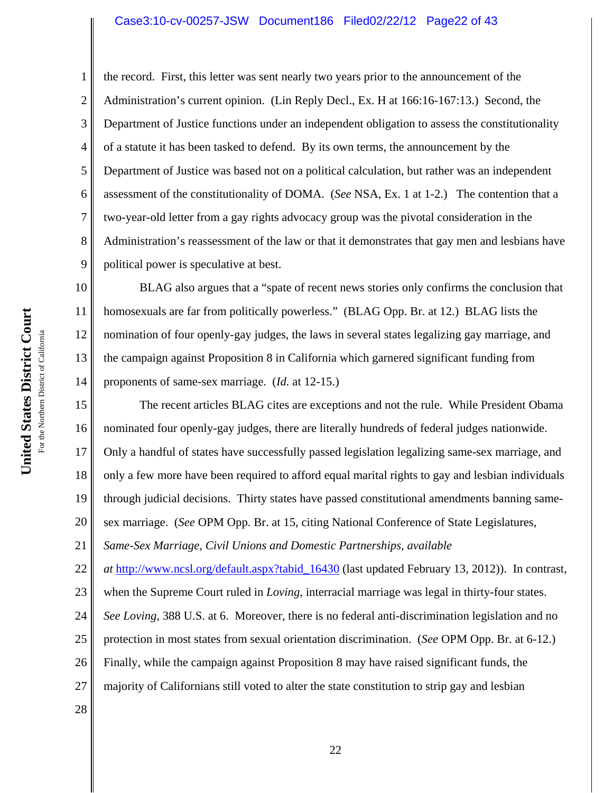### Case3:10-cv-00257-JSW Document186 Filed02/22/12 Page22 of 43

the record. First, this letter was sent nearly two years prior to the announcement of the Administration's current opinion. (Lin Reply Decl., Ex. H at 166:16-167:13.) Second, the Department of Justice functions under an independent obligation to assess the constitutionality of a statute it has been tasked to defend. By its own terms, the announcement by the Department of Justice was based not on a political calculation, but rather was an independent assessment of the constitutionality of DOMA. (*See* NSA, Ex. 1 at 1-2.) The contention that a two-year-old letter from a gay rights advocacy group was the pivotal consideration in the Administration's reassessment of the law or that it demonstrates that gay men and lesbians have political power is speculative at best.

10 11 12 13 14 BLAG also argues that a "spate of recent news stories only confirms the conclusion that homosexuals are far from politically powerless." (BLAG Opp. Br. at 12.) BLAG lists the nomination of four openly-gay judges, the laws in several states legalizing gay marriage, and the campaign against Proposition 8 in California which garnered significant funding from proponents of same-sex marriage. (*Id.* at 12-15.)

15 16 17 18 19 20 21 22 23 24 The recent articles BLAG cites are exceptions and not the rule. While President Obama nominated four openly-gay judges, there are literally hundreds of federal judges nationwide. Only a handful of states have successfully passed legislation legalizing same-sex marriage, and only a few more have been required to afford equal marital rights to gay and lesbian individuals through judicial decisions. Thirty states have passed constitutional amendments banning samesex marriage. (*See* OPM Opp. Br. at 15, citing National Conference of State Legislatures, *Same-Sex Marriage, Civil Unions and Domestic Partnerships, available at* http://www.ncsl.org/default.aspx?tabid\_16430 (last updated February 13, 2012)). In contrast, when the Supreme Court ruled in *Loving*, interracial marriage was legal in thirty-four states. *See Loving*, 388 U.S. at 6. Moreover, there is no federal anti-discrimination legislation and no

25 protection in most states from sexual orientation discrimination. (*See* OPM Opp. Br. at 6-12.)

26 Finally, while the campaign against Proposition 8 may have raised significant funds, the

27 majority of Californians still voted to alter the state constitution to strip gay and lesbian

28

1

2

3

4

5

6

7

8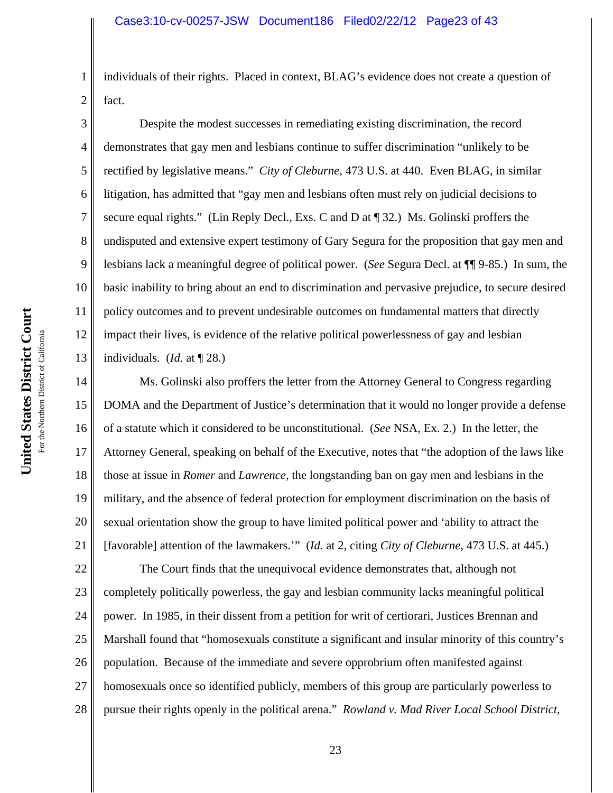individuals of their rights. Placed in context, BLAG's evidence does not create a question of fact.

10 11 12 13 Despite the modest successes in remediating existing discrimination, the record demonstrates that gay men and lesbians continue to suffer discrimination "unlikely to be rectified by legislative means." *City of Cleburne*, 473 U.S. at 440. Even BLAG, in similar litigation, has admitted that "gay men and lesbians often must rely on judicial decisions to secure equal rights." (Lin Reply Decl., Exs. C and D at  $\P$  32.) Ms. Golinski proffers the undisputed and extensive expert testimony of Gary Segura for the proposition that gay men and lesbians lack a meaningful degree of political power. (*See* Segura Decl. at ¶¶ 9-85.) In sum, the basic inability to bring about an end to discrimination and pervasive prejudice, to secure desired policy outcomes and to prevent undesirable outcomes on fundamental matters that directly impact their lives, is evidence of the relative political powerlessness of gay and lesbian individuals. (*Id.* at ¶ 28.)

14 15 16 17 18 19 20 21 Ms. Golinski also proffers the letter from the Attorney General to Congress regarding DOMA and the Department of Justice's determination that it would no longer provide a defense of a statute which it considered to be unconstitutional. (*See* NSA, Ex. 2.) In the letter, the Attorney General, speaking on behalf of the Executive, notes that "the adoption of the laws like those at issue in *Romer* and *Lawrence*, the longstanding ban on gay men and lesbians in the military, and the absence of federal protection for employment discrimination on the basis of sexual orientation show the group to have limited political power and 'ability to attract the [favorable] attention of the lawmakers.'" (*Id.* at 2, citing *City of Cleburne*, 473 U.S. at 445.)

22 23 24 25 26 27 28 The Court finds that the unequivocal evidence demonstrates that, although not completely politically powerless, the gay and lesbian community lacks meaningful political power. In 1985, in their dissent from a petition for writ of certiorari, Justices Brennan and Marshall found that "homosexuals constitute a significant and insular minority of this country's population. Because of the immediate and severe opprobrium often manifested against homosexuals once so identified publicly, members of this group are particularly powerless to pursue their rights openly in the political arena." *Rowland v. Mad River Local School District*,

1

2

3

4

5

6

7

8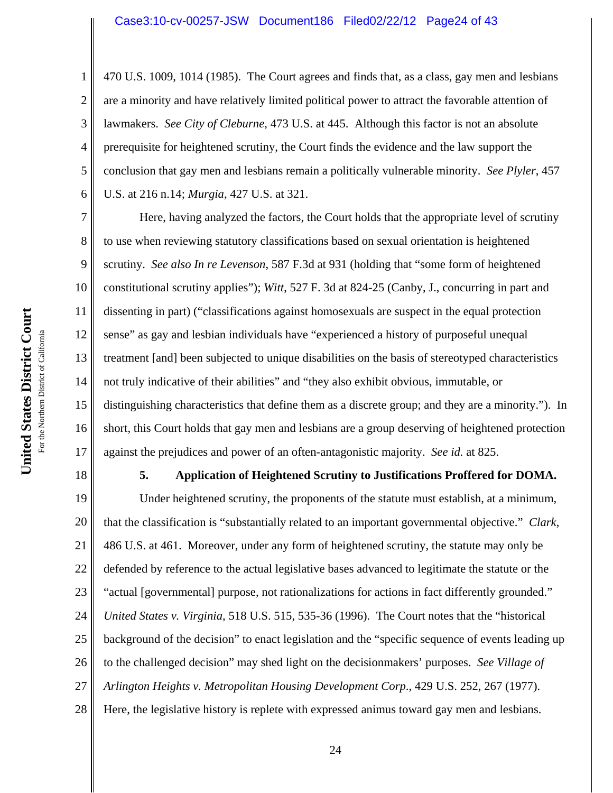#### Case3:10-cv-00257-JSW Document186 Filed02/22/12 Page24 of 43

470 U.S. 1009, 1014 (1985). The Court agrees and finds that, as a class, gay men and lesbians are a minority and have relatively limited political power to attract the favorable attention of lawmakers. *See City of Cleburne*, 473 U.S. at 445. Although this factor is not an absolute prerequisite for heightened scrutiny, the Court finds the evidence and the law support the conclusion that gay men and lesbians remain a politically vulnerable minority. *See Plyler*, 457 U.S. at 216 n.14; *Murgia*, 427 U.S. at 321.

7 8 9 10 11 12 13 14 15 16 17 Here, having analyzed the factors, the Court holds that the appropriate level of scrutiny to use when reviewing statutory classifications based on sexual orientation is heightened scrutiny. *See also In re Levenson*, 587 F.3d at 931 (holding that "some form of heightened constitutional scrutiny applies"); *Witt*, 527 F. 3d at 824-25 (Canby, J., concurring in part and dissenting in part) ("classifications against homosexuals are suspect in the equal protection sense" as gay and lesbian individuals have "experienced a history of purposeful unequal treatment [and] been subjected to unique disabilities on the basis of stereotyped characteristics not truly indicative of their abilities" and "they also exhibit obvious, immutable, or distinguishing characteristics that define them as a discrete group; and they are a minority."). In short, this Court holds that gay men and lesbians are a group deserving of heightened protection against the prejudices and power of an often-antagonistic majority. *See id.* at 825.

18

1

2

3

4

5

6

#### **5. Application of Heightened Scrutiny to Justifications Proffered for DOMA.**

19 20 21 22 23 24 25 26 27 28 Under heightened scrutiny, the proponents of the statute must establish, at a minimum, that the classification is "substantially related to an important governmental objective." *Clark*, 486 U.S. at 461. Moreover, under any form of heightened scrutiny, the statute may only be defended by reference to the actual legislative bases advanced to legitimate the statute or the "actual [governmental] purpose, not rationalizations for actions in fact differently grounded." *United States v. Virginia*, 518 U.S. 515, 535-36 (1996). The Court notes that the "historical background of the decision" to enact legislation and the "specific sequence of events leading up to the challenged decision" may shed light on the decisionmakers' purposes. *See Village of Arlington Heights v. Metropolitan Housing Development Corp*., 429 U.S. 252, 267 (1977). Here, the legislative history is replete with expressed animus toward gay men and lesbians.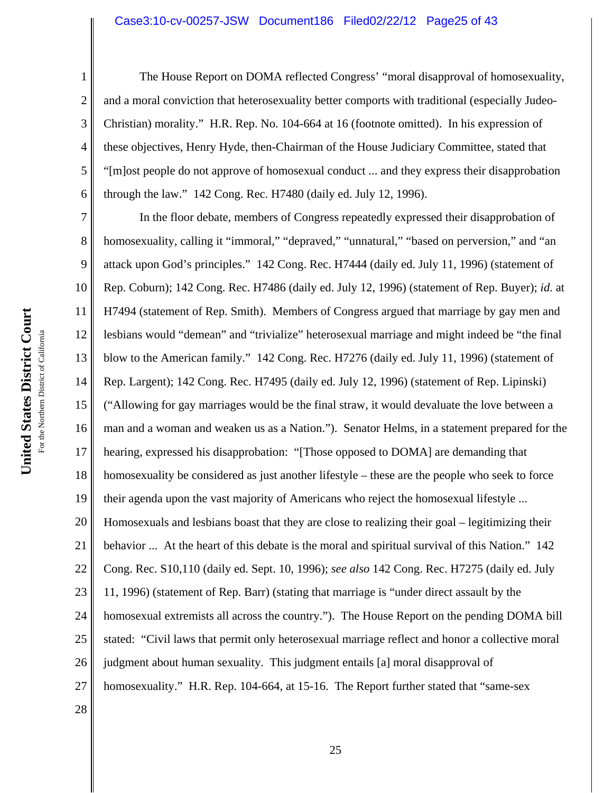#### Case3:10-cv-00257-JSW Document186 Filed02/22/12 Page25 of 43

The House Report on DOMA reflected Congress' "moral disapproval of homosexuality, and a moral conviction that heterosexuality better comports with traditional (especially Judeo-Christian) morality." H.R. Rep. No. 104-664 at 16 (footnote omitted). In his expression of these objectives, Henry Hyde, then-Chairman of the House Judiciary Committee, stated that "[m]ost people do not approve of homosexual conduct ... and they express their disapprobation through the law." 142 Cong. Rec. H7480 (daily ed. July 12, 1996).

7 8 9 10 11 12 13 14 15 16 17 18 19 20 21 22 23 24 25 26 27 28 In the floor debate, members of Congress repeatedly expressed their disapprobation of homosexuality, calling it "immoral," "depraved," "unnatural," "based on perversion," and "an attack upon God's principles." 142 Cong. Rec. H7444 (daily ed. July 11, 1996) (statement of Rep. Coburn); 142 Cong. Rec. H7486 (daily ed. July 12, 1996) (statement of Rep. Buyer); *id*. at H7494 (statement of Rep. Smith). Members of Congress argued that marriage by gay men and lesbians would "demean" and "trivialize" heterosexual marriage and might indeed be "the final blow to the American family." 142 Cong. Rec. H7276 (daily ed. July 11, 1996) (statement of Rep. Largent); 142 Cong. Rec. H7495 (daily ed. July 12, 1996) (statement of Rep. Lipinski) ("Allowing for gay marriages would be the final straw, it would devaluate the love between a man and a woman and weaken us as a Nation."). Senator Helms, in a statement prepared for the hearing, expressed his disapprobation: "[Those opposed to DOMA] are demanding that homosexuality be considered as just another lifestyle – these are the people who seek to force their agenda upon the vast majority of Americans who reject the homosexual lifestyle ... Homosexuals and lesbians boast that they are close to realizing their goal – legitimizing their behavior ... At the heart of this debate is the moral and spiritual survival of this Nation." 142 Cong. Rec. S10,110 (daily ed. Sept. 10, 1996); *see also* 142 Cong. Rec. H7275 (daily ed. July 11, 1996) (statement of Rep. Barr) (stating that marriage is "under direct assault by the homosexual extremists all across the country."). The House Report on the pending DOMA bill stated: "Civil laws that permit only heterosexual marriage reflect and honor a collective moral judgment about human sexuality. This judgment entails [a] moral disapproval of homosexuality." H.R. Rep. 104-664, at 15-16. The Report further stated that "same-sex"

1

2

3

4

5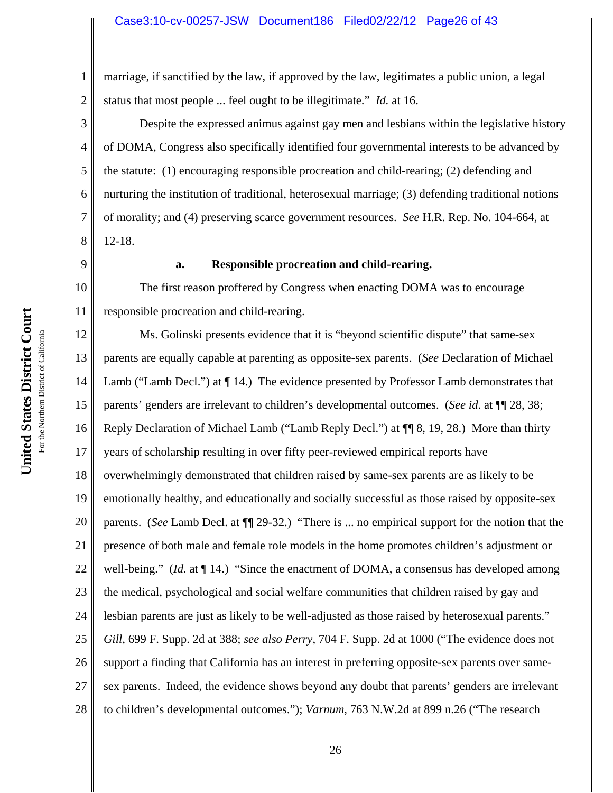#### Case3:10-cv-00257-JSW Document186 Filed02/22/12 Page26 of 43

marriage, if sanctified by the law, if approved by the law, legitimates a public union, a legal status that most people ... feel ought to be illegitimate." *Id.* at 16.

Despite the expressed animus against gay men and lesbians within the legislative history of DOMA, Congress also specifically identified four governmental interests to be advanced by the statute: (1) encouraging responsible procreation and child-rearing; (2) defending and nurturing the institution of traditional, heterosexual marriage; (3) defending traditional notions of morality; and (4) preserving scarce government resources. *See* H.R. Rep. No. 104-664, at 12-18.

9

1

2

3

4

5

6

7

8

11

#### **a. Responsible procreation and child-rearing.**

10 The first reason proffered by Congress when enacting DOMA was to encourage responsible procreation and child-rearing.

12 13 14 15 16 17 18 19 20 21 22 23 24 25 26 27 28 Ms. Golinski presents evidence that it is "beyond scientific dispute" that same-sex parents are equally capable at parenting as opposite-sex parents. (*See* Declaration of Michael Lamb ("Lamb Decl.") at  $\P$  14.) The evidence presented by Professor Lamb demonstrates that parents' genders are irrelevant to children's developmental outcomes. (*See id*. at ¶¶ 28, 38; Reply Declaration of Michael Lamb ("Lamb Reply Decl.") at ¶¶ 8, 19, 28.) More than thirty years of scholarship resulting in over fifty peer-reviewed empirical reports have overwhelmingly demonstrated that children raised by same-sex parents are as likely to be emotionally healthy, and educationally and socially successful as those raised by opposite-sex parents. (*See* Lamb Decl. at ¶¶ 29-32.) "There is ... no empirical support for the notion that the presence of both male and female role models in the home promotes children's adjustment or well-being." *(Id.* at  $\P$  14.) "Since the enactment of DOMA, a consensus has developed among the medical, psychological and social welfare communities that children raised by gay and lesbian parents are just as likely to be well-adjusted as those raised by heterosexual parents." *Gill*, 699 F. Supp. 2d at 388; *see also Perry*, 704 F. Supp. 2d at 1000 ("The evidence does not support a finding that California has an interest in preferring opposite-sex parents over samesex parents. Indeed, the evidence shows beyond any doubt that parents' genders are irrelevant to children's developmental outcomes."); *Varnum*, 763 N.W.2d at 899 n.26 ("The research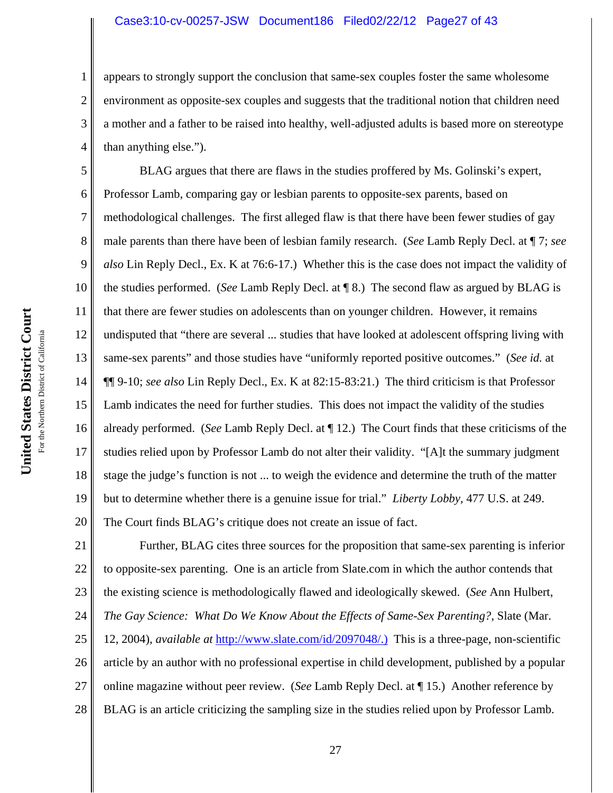#### Case3:10-cv-00257-JSW Document186 Filed02/22/12 Page27 of 43

appears to strongly support the conclusion that same-sex couples foster the same wholesome environment as opposite-sex couples and suggests that the traditional notion that children need a mother and a father to be raised into healthy, well-adjusted adults is based more on stereotype than anything else.").

5 6 7 8 9 10 11 12 13 14 15 16 17 18 19 20 BLAG argues that there are flaws in the studies proffered by Ms. Golinski's expert, Professor Lamb, comparing gay or lesbian parents to opposite-sex parents, based on methodological challenges. The first alleged flaw is that there have been fewer studies of gay male parents than there have been of lesbian family research. (*See* Lamb Reply Decl. at ¶ 7; *see also* Lin Reply Decl., Ex. K at 76:6-17.) Whether this is the case does not impact the validity of the studies performed. (*See* Lamb Reply Decl. at ¶ 8.) The second flaw as argued by BLAG is that there are fewer studies on adolescents than on younger children. However, it remains undisputed that "there are several ... studies that have looked at adolescent offspring living with same-sex parents" and those studies have "uniformly reported positive outcomes." (*See id.* at ¶¶ 9-10; *see also* Lin Reply Decl., Ex. K at 82:15-83:21.) The third criticism is that Professor Lamb indicates the need for further studies. This does not impact the validity of the studies already performed. (*See* Lamb Reply Decl. at ¶ 12.) The Court finds that these criticisms of the studies relied upon by Professor Lamb do not alter their validity. "[A]t the summary judgment stage the judge's function is not ... to weigh the evidence and determine the truth of the matter but to determine whether there is a genuine issue for trial." *Liberty Lobby,* 477 U.S. at 249. The Court finds BLAG's critique does not create an issue of fact.

21 22 23 24 25 26 27 28 Further, BLAG cites three sources for the proposition that same-sex parenting is inferior to opposite-sex parenting. One is an article from Slate.com in which the author contends that the existing science is methodologically flawed and ideologically skewed. (*See* Ann Hulbert, *The Gay Science: What Do We Know About the Effects of Same-Sex Parenting?*, Slate (Mar. 12, 2004), *available at* http://www.slate.com/id/2097048/.) This is a three-page, non-scientific article by an author with no professional expertise in child development, published by a popular online magazine without peer review. (*See* Lamb Reply Decl. at ¶ 15.) Another reference by BLAG is an article criticizing the sampling size in the studies relied upon by Professor Lamb.

1

2

3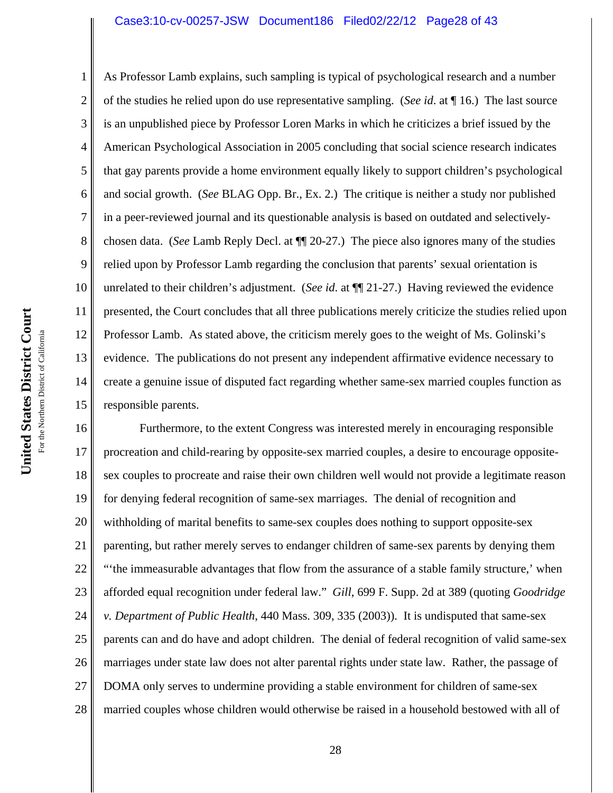#### Case3:10-cv-00257-JSW Document186 Filed02/22/12 Page28 of 43

As Professor Lamb explains, such sampling is typical of psychological research and a number of the studies he relied upon do use representative sampling. (*See id*. at ¶ 16.) The last source is an unpublished piece by Professor Loren Marks in which he criticizes a brief issued by the American Psychological Association in 2005 concluding that social science research indicates that gay parents provide a home environment equally likely to support children's psychological and social growth. (*See* BLAG Opp. Br., Ex. 2.) The critique is neither a study nor published in a peer-reviewed journal and its questionable analysis is based on outdated and selectivelychosen data. (*See* Lamb Reply Decl. at ¶¶ 20-27.) The piece also ignores many of the studies relied upon by Professor Lamb regarding the conclusion that parents' sexual orientation is unrelated to their children's adjustment. (*See id*. at ¶¶ 21-27.) Having reviewed the evidence presented, the Court concludes that all three publications merely criticize the studies relied upon Professor Lamb. As stated above, the criticism merely goes to the weight of Ms. Golinski's evidence. The publications do not present any independent affirmative evidence necessary to create a genuine issue of disputed fact regarding whether same-sex married couples function as responsible parents.

16 17 18 19 20 21 22 23 24 25 26 27 28 Furthermore, to the extent Congress was interested merely in encouraging responsible procreation and child-rearing by opposite-sex married couples, a desire to encourage oppositesex couples to procreate and raise their own children well would not provide a legitimate reason for denying federal recognition of same-sex marriages. The denial of recognition and withholding of marital benefits to same-sex couples does nothing to support opposite-sex parenting, but rather merely serves to endanger children of same-sex parents by denying them "'the immeasurable advantages that flow from the assurance of a stable family structure,' when afforded equal recognition under federal law." *Gill*, 699 F. Supp. 2d at 389 (quoting *Goodridge v. Department of Public Health*, 440 Mass. 309, 335 (2003)). It is undisputed that same-sex parents can and do have and adopt children. The denial of federal recognition of valid same-sex marriages under state law does not alter parental rights under state law. Rather, the passage of DOMA only serves to undermine providing a stable environment for children of same-sex married couples whose children would otherwise be raised in a household bestowed with all of

1

2

3

4

5

6

7

8

9

10

11

12

13

14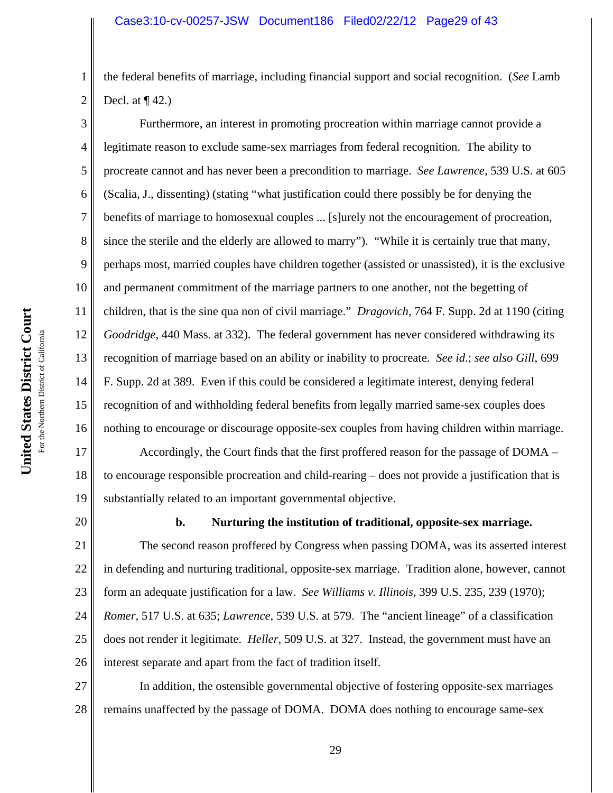the federal benefits of marriage, including financial support and social recognition. (*See* Lamb Decl. at  $\P$  42.)

4 10 12 13 14 16 Furthermore, an interest in promoting procreation within marriage cannot provide a legitimate reason to exclude same-sex marriages from federal recognition. The ability to procreate cannot and has never been a precondition to marriage. *See Lawrence,* 539 U.S. at 605 (Scalia, J., dissenting) (stating "what justification could there possibly be for denying the benefits of marriage to homosexual couples ... [s]urely not the encouragement of procreation, since the sterile and the elderly are allowed to marry"). "While it is certainly true that many, perhaps most, married couples have children together (assisted or unassisted), it is the exclusive and permanent commitment of the marriage partners to one another, not the begetting of children, that is the sine qua non of civil marriage." *Dragovich*, 764 F. Supp. 2d at 1190 (citing *Goodridge*, 440 Mass. at 332). The federal government has never considered withdrawing its recognition of marriage based on an ability or inability to procreate. *See id*.; *see also Gill*, 699 F. Supp. 2d at 389. Even if this could be considered a legitimate interest, denying federal recognition of and withholding federal benefits from legally married same-sex couples does nothing to encourage or discourage opposite-sex couples from having children within marriage.

17 18 19 Accordingly, the Court finds that the first proffered reason for the passage of DOMA – to encourage responsible procreation and child-rearing – does not provide a justification that is substantially related to an important governmental objective.

20

1

2

3

5

6

7

8

9

11

15

# **b. Nurturing the institution of traditional, opposite-sex marriage.**

21 22 23 24 25 26 The second reason proffered by Congress when passing DOMA, was its asserted interest in defending and nurturing traditional, opposite-sex marriage. Tradition alone, however, cannot form an adequate justification for a law. *See Williams v. Illinois*, 399 U.S. 235, 239 (1970); *Romer,* 517 U.S. at 635; *Lawrence,* 539 U.S. at 579. The "ancient lineage" of a classification does not render it legitimate. *Heller*, 509 U.S. at 327. Instead, the government must have an interest separate and apart from the fact of tradition itself.

27 28 In addition, the ostensible governmental objective of fostering opposite-sex marriages remains unaffected by the passage of DOMA. DOMA does nothing to encourage same-sex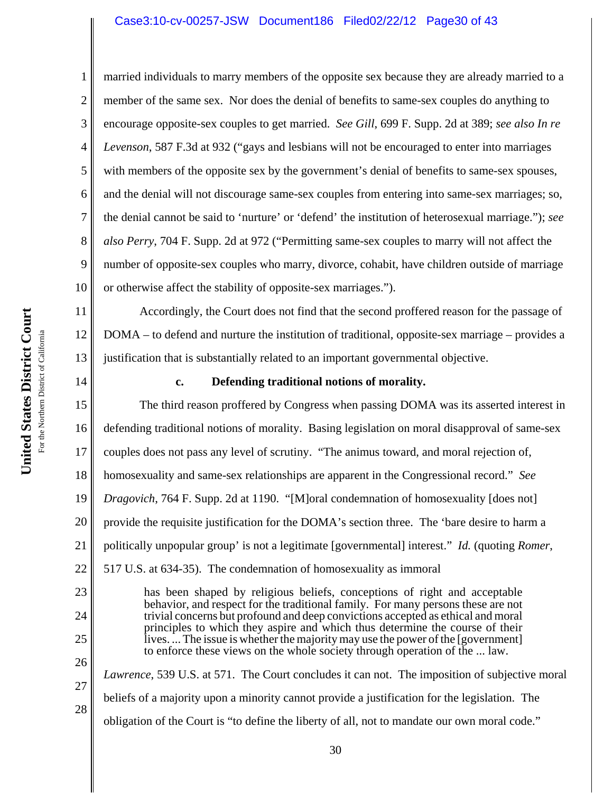# Case3:10-cv-00257-JSW Document186 Filed02/22/12 Page30 of 43

10 married individuals to marry members of the opposite sex because they are already married to a member of the same sex. Nor does the denial of benefits to same-sex couples do anything to encourage opposite-sex couples to get married. *See Gill*, 699 F. Supp. 2d at 389; *see also In re Levenson*, 587 F.3d at 932 ("gays and lesbians will not be encouraged to enter into marriages with members of the opposite sex by the government's denial of benefits to same-sex spouses, and the denial will not discourage same-sex couples from entering into same-sex marriages; so, the denial cannot be said to 'nurture' or 'defend' the institution of heterosexual marriage."); *see also Perry*, 704 F. Supp. 2d at 972 ("Permitting same-sex couples to marry will not affect the number of opposite-sex couples who marry, divorce, cohabit, have children outside of marriage or otherwise affect the stability of opposite-sex marriages.").

Accordingly, the Court does not find that the second proffered reason for the passage of DOMA – to defend and nurture the institution of traditional, opposite-sex marriage – provides a justification that is substantially related to an important governmental objective.

14

24

25

26

1

2

3

4

5

6

7

8

9

11

12

13

### **c. Defending traditional notions of morality.**

15 16 17 18 19 20 21 22 23 The third reason proffered by Congress when passing DOMA was its asserted interest in defending traditional notions of morality. Basing legislation on moral disapproval of same-sex couples does not pass any level of scrutiny. "The animus toward, and moral rejection of, homosexuality and same-sex relationships are apparent in the Congressional record." *See Dragovich*, 764 F. Supp. 2d at 1190. "[M]oral condemnation of homosexuality [does not] provide the requisite justification for the DOMA's section three. The 'bare desire to harm a politically unpopular group' is not a legitimate [governmental] interest." *Id.* (quoting *Romer*, 517 U.S. at 634-35). The condemnation of homosexuality as immoral has been shaped by religious beliefs, conceptions of right and acceptable

behavior, and respect for the traditional family. For many persons these are not trivial concerns but profound and deep convictions accepted as ethical and moral principles to which they aspire and which thus determine the course of their lives. ... The issue is whether the majority may use the power of the [government] to enforce these views on the whole society through operation of the ... law.

27 28 *Lawrence*, 539 U.S. at 571. The Court concludes it can not. The imposition of subjective moral beliefs of a majority upon a minority cannot provide a justification for the legislation. The obligation of the Court is "to define the liberty of all, not to mandate our own moral code."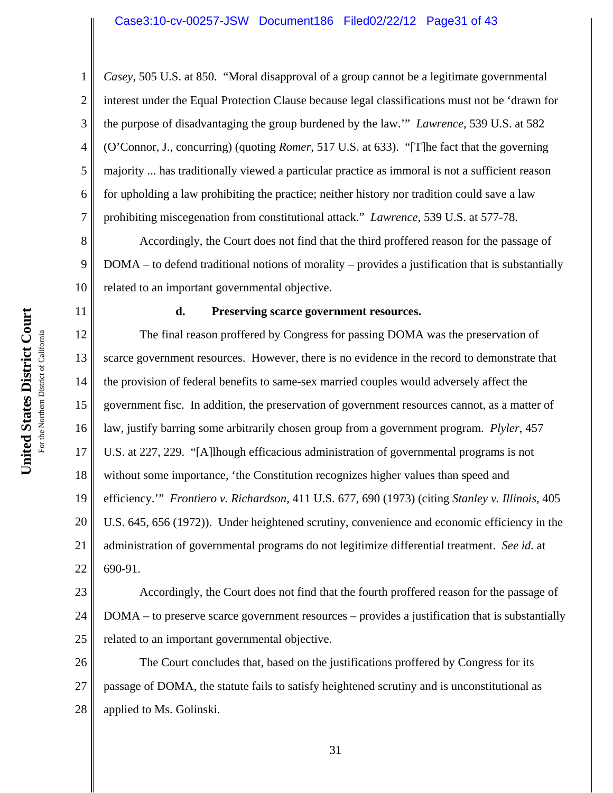### Case3:10-cv-00257-JSW Document186 Filed02/22/12 Page31 of 43

*Casey*, 505 U.S. at 850. "Moral disapproval of a group cannot be a legitimate governmental interest under the Equal Protection Clause because legal classifications must not be 'drawn for the purpose of disadvantaging the group burdened by the law.'" *Lawrence*, 539 U.S. at 582 (O'Connor, J., concurring) (quoting *Romer*, 517 U.S. at 633). "[T]he fact that the governing majority ... has traditionally viewed a particular practice as immoral is not a sufficient reason for upholding a law prohibiting the practice; neither history nor tradition could save a law prohibiting miscegenation from constitutional attack." *Lawrence*, 539 U.S. at 577-78.

8 9 10 Accordingly, the Court does not find that the third proffered reason for the passage of DOMA – to defend traditional notions of morality – provides a justification that is substantially related to an important governmental objective.

#### **d. Preserving scarce government resources.**

12 13 14 15 16 17 18 19 20 21 22 The final reason proffered by Congress for passing DOMA was the preservation of scarce government resources. However, there is no evidence in the record to demonstrate that the provision of federal benefits to same-sex married couples would adversely affect the government fisc. In addition, the preservation of government resources cannot, as a matter of law, justify barring some arbitrarily chosen group from a government program. *Plyler*, 457 U.S. at 227, 229. "[A]lhough efficacious administration of governmental programs is not without some importance, 'the Constitution recognizes higher values than speed and efficiency.'" *Frontiero v. Richardson*, 411 U.S. 677, 690 (1973) (citing *Stanley v. Illinois*, 405 U.S. 645, 656 (1972)). Under heightened scrutiny, convenience and economic efficiency in the administration of governmental programs do not legitimize differential treatment. *See id.* at 690-91.

23 24 25 Accordingly, the Court does not find that the fourth proffered reason for the passage of DOMA – to preserve scarce government resources – provides a justification that is substantially related to an important governmental objective.

26 27 28 The Court concludes that, based on the justifications proffered by Congress for its passage of DOMA, the statute fails to satisfy heightened scrutiny and is unconstitutional as applied to Ms. Golinski.

1

2

3

4

5

6

7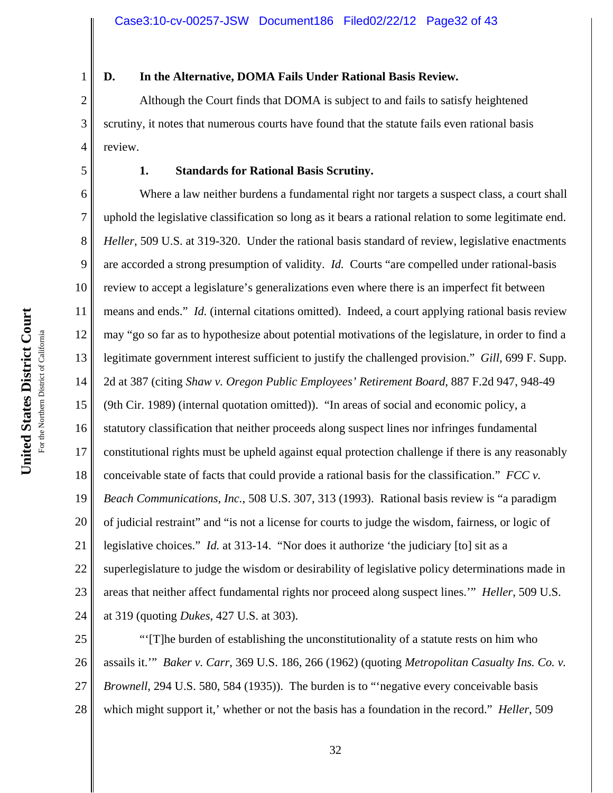#### **D. In the Alternative, DOMA Fails Under Rational Basis Review.**

Although the Court finds that DOMA is subject to and fails to satisfy heightened scrutiny, it notes that numerous courts have found that the statute fails even rational basis review.

1

2

3

4

5

#### **1. Standards for Rational Basis Scrutiny.**

6 7 8 9 10 11 12 13 14 15 16 17 18 19 20 21 22 23 24 Where a law neither burdens a fundamental right nor targets a suspect class, a court shall uphold the legislative classification so long as it bears a rational relation to some legitimate end. *Heller*, 509 U.S. at 319-320. Under the rational basis standard of review, legislative enactments are accorded a strong presumption of validity. *Id.* Courts "are compelled under rational-basis review to accept a legislature's generalizations even where there is an imperfect fit between means and ends." *Id.* (internal citations omitted). Indeed, a court applying rational basis review may "go so far as to hypothesize about potential motivations of the legislature, in order to find a legitimate government interest sufficient to justify the challenged provision." *Gill*, 699 F. Supp. 2d at 387 (citing *Shaw v. Oregon Public Employees' Retirement Board*, 887 F.2d 947, 948-49 (9th Cir. 1989) (internal quotation omitted)). "In areas of social and economic policy, a statutory classification that neither proceeds along suspect lines nor infringes fundamental constitutional rights must be upheld against equal protection challenge if there is any reasonably conceivable state of facts that could provide a rational basis for the classification." *FCC v. Beach Communications, Inc.*, 508 U.S. 307, 313 (1993). Rational basis review is "a paradigm of judicial restraint" and "is not a license for courts to judge the wisdom, fairness, or logic of legislative choices." *Id.* at 313-14. "Nor does it authorize 'the judiciary [to] sit as a superlegislature to judge the wisdom or desirability of legislative policy determinations made in areas that neither affect fundamental rights nor proceed along suspect lines.'" *Heller*, 509 U.S. at 319 (quoting *Dukes*, 427 U.S. at 303).

25 26 27 28 "'[T]he burden of establishing the unconstitutionality of a statute rests on him who assails it.'" *Baker v. Carr*, 369 U.S. 186, 266 (1962) (quoting *Metropolitan Casualty Ins. Co. v. Brownell*, 294 U.S. 580, 584 (1935)). The burden is to "'negative every conceivable basis which might support it,' whether or not the basis has a foundation in the record." *Heller*, 509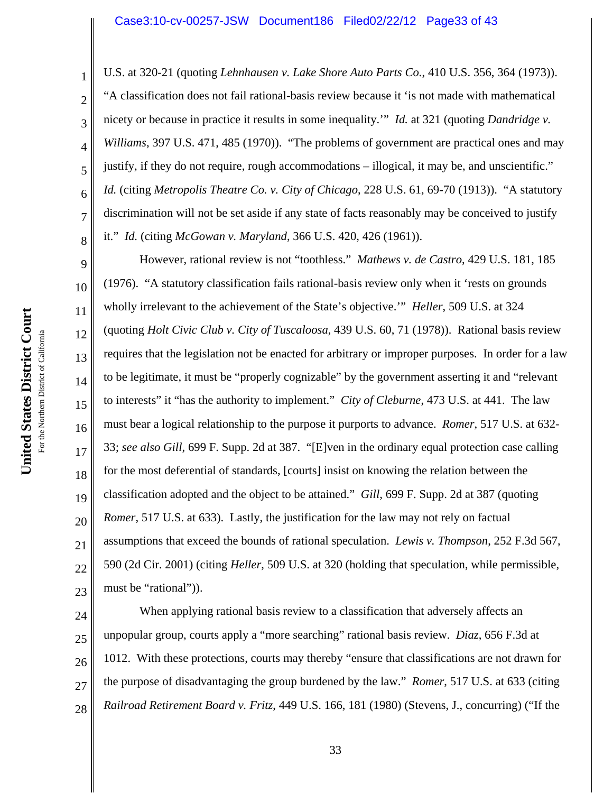#### Case3:10-cv-00257-JSW Document186 Filed02/22/12 Page33 of 43

U.S. at 320-21 (quoting *Lehnhausen v. Lake Shore Auto Parts Co.*, 410 U.S. 356, 364 (1973)). "A classification does not fail rational-basis review because it 'is not made with mathematical nicety or because in practice it results in some inequality.'" *Id.* at 321 (quoting *Dandridge v. Williams*, 397 U.S. 471, 485 (1970)). "The problems of government are practical ones and may justify, if they do not require, rough accommodations – illogical, it may be, and unscientific." *Id.* (citing *Metropolis Theatre Co. v. City of Chicago*, 228 U.S. 61, 69-70 (1913)). "A statutory discrimination will not be set aside if any state of facts reasonably may be conceived to justify it." *Id.* (citing *McGowan v. Maryland*, 366 U.S. 420, 426 (1961)).

9 10 11 12 13 14 15 16 17 18 19 20 21 22 23 However, rational review is not "toothless." *Mathews v. de Castro*, 429 U.S. 181, 185 (1976). "A statutory classification fails rational-basis review only when it 'rests on grounds wholly irrelevant to the achievement of the State's objective.'" *Heller*, 509 U.S. at 324 (quoting *Holt Civic Club v. City of Tuscaloosa*, 439 U.S. 60, 71 (1978)). Rational basis review requires that the legislation not be enacted for arbitrary or improper purposes. In order for a law to be legitimate, it must be "properly cognizable" by the government asserting it and "relevant to interests" it "has the authority to implement." *City of Cleburne*, 473 U.S. at 441. The law must bear a logical relationship to the purpose it purports to advance. *Romer*, 517 U.S. at 632- 33; *see also Gill*, 699 F. Supp. 2d at 387. "[E]ven in the ordinary equal protection case calling for the most deferential of standards, [courts] insist on knowing the relation between the classification adopted and the object to be attained." *Gill*, 699 F. Supp. 2d at 387 (quoting *Romer*, 517 U.S. at 633). Lastly, the justification for the law may not rely on factual assumptions that exceed the bounds of rational speculation. *Lewis v. Thompson*, 252 F.3d 567, 590 (2d Cir. 2001) (citing *Heller*, 509 U.S. at 320 (holding that speculation, while permissible, must be "rational")).

24 25 26 27 28 When applying rational basis review to a classification that adversely affects an unpopular group, courts apply a "more searching" rational basis review. *Diaz*, 656 F.3d at 1012. With these protections, courts may thereby "ensure that classifications are not drawn for the purpose of disadvantaging the group burdened by the law." *Romer*, 517 U.S. at 633 (citing *Railroad Retirement Board v. Fritz*, 449 U.S. 166, 181 (1980) (Stevens, J., concurring) ("If the

1

2

3

4

5

6

7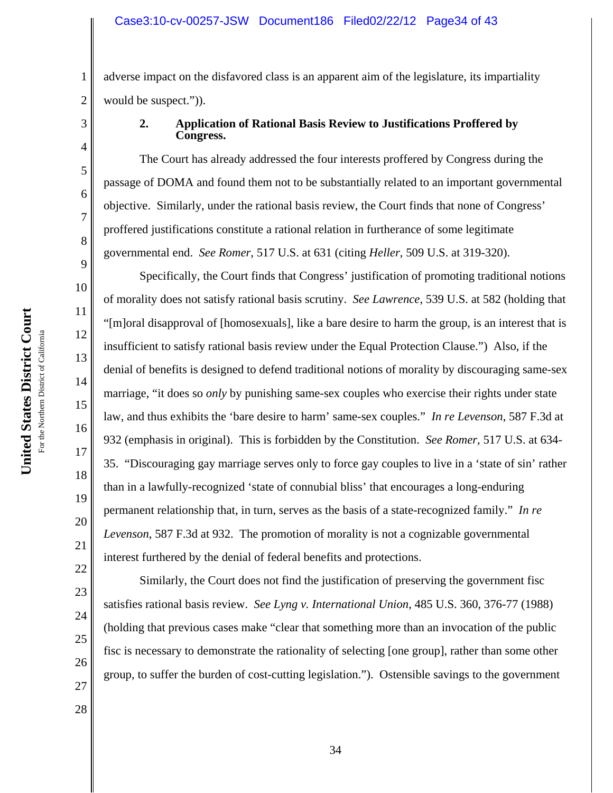2 adverse impact on the disfavored class is an apparent aim of the legislature, its impartiality would be suspect.")).

1

3

4

5

6

7

8

9

10

11

12

13

14

15

16

17

18

19

20

21

22

23

# **2. Application of Rational Basis Review to Justifications Proffered by Congress.**

The Court has already addressed the four interests proffered by Congress during the passage of DOMA and found them not to be substantially related to an important governmental objective. Similarly, under the rational basis review, the Court finds that none of Congress' proffered justifications constitute a rational relation in furtherance of some legitimate governmental end. *See Romer*, 517 U.S. at 631 (citing *Heller*, 509 U.S. at 319-320).

Specifically, the Court finds that Congress' justification of promoting traditional notions of morality does not satisfy rational basis scrutiny. *See Lawrence*, 539 U.S. at 582 (holding that "[m]oral disapproval of [homosexuals], like a bare desire to harm the group, is an interest that is insufficient to satisfy rational basis review under the Equal Protection Clause.") Also, if the denial of benefits is designed to defend traditional notions of morality by discouraging same-sex marriage, "it does so *only* by punishing same-sex couples who exercise their rights under state law, and thus exhibits the 'bare desire to harm' same-sex couples." *In re Levenson*, 587 F.3d at 932 (emphasis in original). This is forbidden by the Constitution. *See Romer,* 517 U.S. at 634- 35. "Discouraging gay marriage serves only to force gay couples to live in a 'state of sin' rather than in a lawfully-recognized 'state of connubial bliss' that encourages a long-enduring permanent relationship that, in turn, serves as the basis of a state-recognized family." *In re Levenson*, 587 F.3d at 932. The promotion of morality is not a cognizable governmental interest furthered by the denial of federal benefits and protections.

Similarly, the Court does not find the justification of preserving the government fisc satisfies rational basis review. *See Lyng v. International Union*, 485 U.S. 360, 376-77 (1988) (holding that previous cases make "clear that something more than an invocation of the public fisc is necessary to demonstrate the rationality of selecting [one group], rather than some other group, to suffer the burden of cost-cutting legislation."). Ostensible savings to the government

For the Northern District of California For the Northern District of California

**United States District Court**

United States District Court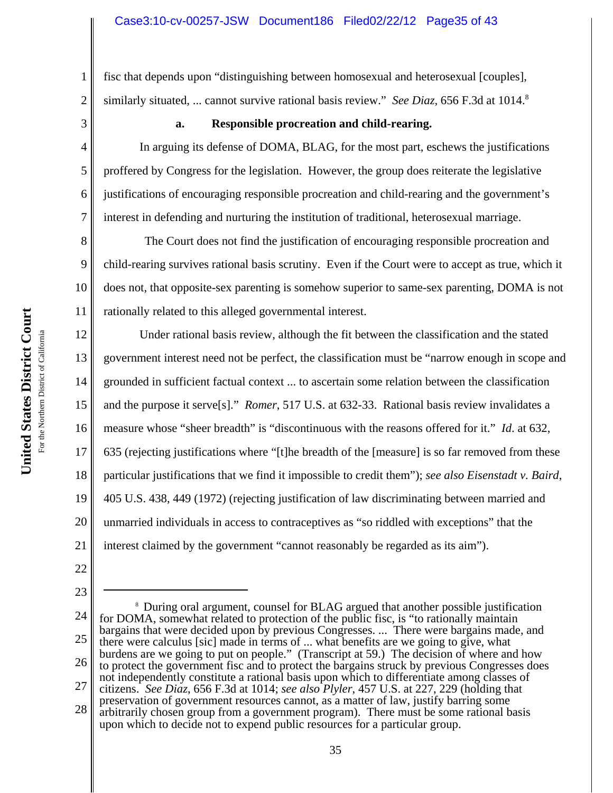fisc that depends upon "distinguishing between homosexual and heterosexual [couples], similarly situated, ... cannot survive rational basis review." *See Diaz*, 656 F.3d at 1014.<sup>8</sup>

1

2

3

4

5

6

7

# **a. Responsible procreation and child-rearing.**

In arguing its defense of DOMA, BLAG, for the most part, eschews the justifications proffered by Congress for the legislation. However, the group does reiterate the legislative justifications of encouraging responsible procreation and child-rearing and the government's interest in defending and nurturing the institution of traditional, heterosexual marriage.

8 9 10 11 The Court does not find the justification of encouraging responsible procreation and child-rearing survives rational basis scrutiny. Even if the Court were to accept as true, which it does not, that opposite-sex parenting is somehow superior to same-sex parenting, DOMA is not rationally related to this alleged governmental interest.

12 13 14 15 16 17 18 19 20 21 Under rational basis review, although the fit between the classification and the stated government interest need not be perfect, the classification must be "narrow enough in scope and grounded in sufficient factual context ... to ascertain some relation between the classification and the purpose it serve[s]." *Romer*, 517 U.S. at 632-33. Rational basis review invalidates a measure whose "sheer breadth" is "discontinuous with the reasons offered for it." *Id*. at 632, 635 (rejecting justifications where "[t]he breadth of the [measure] is so far removed from these particular justifications that we find it impossible to credit them"); *see also Eisenstadt v. Baird*, 405 U.S. 438, 449 (1972) (rejecting justification of law discriminating between married and unmarried individuals in access to contraceptives as "so riddled with exceptions" that the interest claimed by the government "cannot reasonably be regarded as its aim").

- 22 23
- 24 25 26 27 28 <sup>8</sup> During oral argument, counsel for BLAG argued that another possible justification for DOMA, somewhat related to protection of the public fisc, is "to rationally maintain bargains that were decided upon by previous Congresses. ... There were bargains made, and there were calculus [sic] made in terms of ... what benefits are we going to give, what burdens are we going to put on people." (Transcript at 59.) The decision of where and how to protect the government fisc and to protect the bargains struck by previous Congresses does not independently constitute a rational basis upon which to differentiate among classes of citizens. *See Diaz*, 656 F.3d at 1014; *see also Plyler*, 457 U.S. at 227, 229 (holding that preservation of government resources cannot, as a matter of law, justify barring some arbitrarily chosen group from a government program). There must be some rational basis

upon which to decide not to expend public resources for a particular group.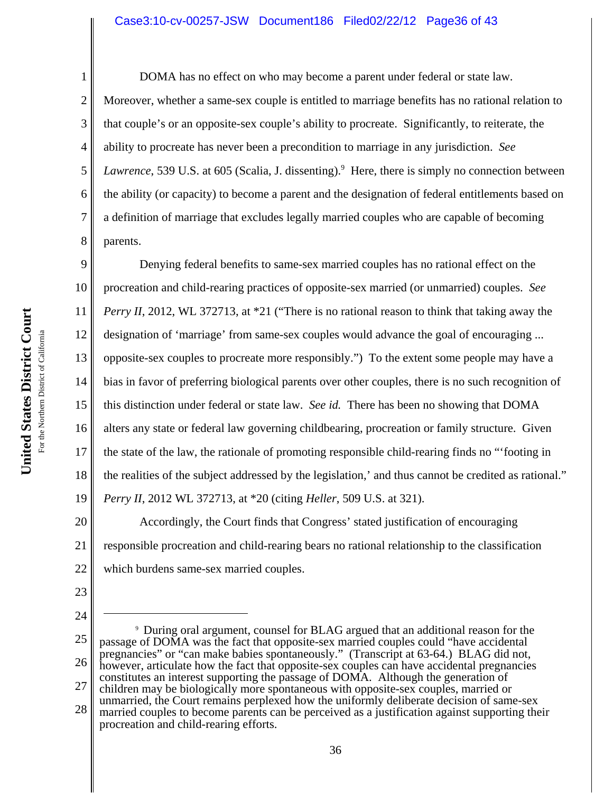### Case3:10-cv-00257-JSW Document186 Filed02/22/12 Page36 of 43

1 2 3 4 5 6 7 8 DOMA has no effect on who may become a parent under federal or state law. Moreover, whether a same-sex couple is entitled to marriage benefits has no rational relation to that couple's or an opposite-sex couple's ability to procreate. Significantly, to reiterate, the ability to procreate has never been a precondition to marriage in any jurisdiction. *See* Lawrence, 539 U.S. at 605 (Scalia, J. dissenting).<sup>9</sup> Here, there is simply no connection between the ability (or capacity) to become a parent and the designation of federal entitlements based on a definition of marriage that excludes legally married couples who are capable of becoming parents.

9 10 11 12 13 14 15 16 17 18 19 Denying federal benefits to same-sex married couples has no rational effect on the procreation and child-rearing practices of opposite-sex married (or unmarried) couples. *See Perry II*, 2012, WL 372713, at  $*21$  ("There is no rational reason to think that taking away the designation of 'marriage' from same-sex couples would advance the goal of encouraging ... opposite-sex couples to procreate more responsibly.") To the extent some people may have a bias in favor of preferring biological parents over other couples, there is no such recognition of this distinction under federal or state law. *See id.* There has been no showing that DOMA alters any state or federal law governing childbearing, procreation or family structure. Given the state of the law, the rationale of promoting responsible child-rearing finds no "'footing in the realities of the subject addressed by the legislation,' and thus cannot be credited as rational." *Perry II*, 2012 WL 372713, at \*20 (citing *Heller*, 509 U.S. at 321).

20 21 22 Accordingly, the Court finds that Congress' stated justification of encouraging responsible procreation and child-rearing bears no rational relationship to the classification which burdens same-sex married couples.

- 23 24
- 

<sup>25</sup> 26 27 28 9 During oral argument, counsel for BLAG argued that an additional reason for the passage of DOMA was the fact that opposite-sex married couples could "have accidental pregnancies" or "can make babies spontaneously." (Transcript at 63-64.) BLAG did not, however, articulate how the fact that opposite-sex couples can have accidental pregnancies constitutes an interest supporting the passage of DOMA. Although the generation of children may be biologically more spontaneous with opposite-sex couples, married or unmarried, the Court remains perplexed how the uniformly deliberate decision of same-sex married couples to become parents can be perceived as a justification against supporting their procreation and child-rearing efforts.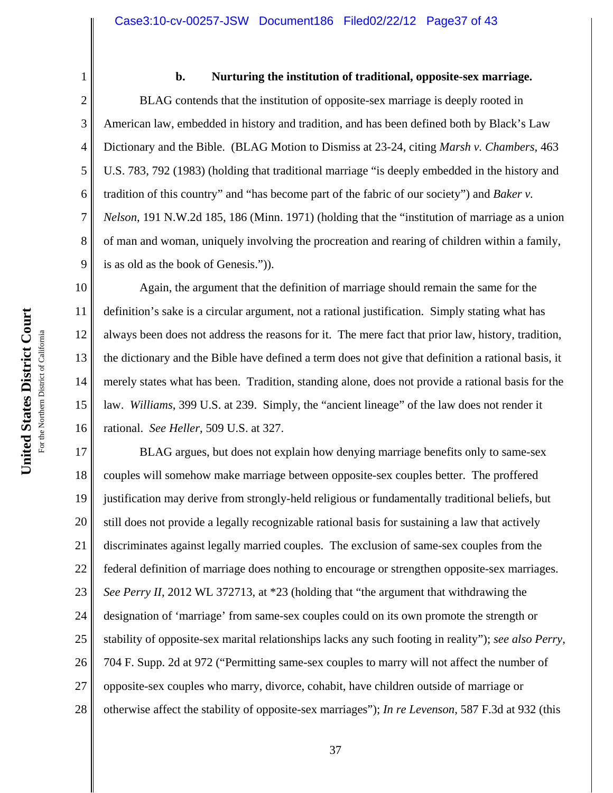For the Northern District of California For the Northern District of California 1

2

3

4

5

6

7

8

9

**United States District Court**

United States District Court

**b. Nurturing the institution of traditional, opposite-sex marriage.**

BLAG contends that the institution of opposite-sex marriage is deeply rooted in American law, embedded in history and tradition, and has been defined both by Black's Law Dictionary and the Bible. (BLAG Motion to Dismiss at 23-24, citing *Marsh v. Chambers*, 463 U.S. 783, 792 (1983) (holding that traditional marriage "is deeply embedded in the history and tradition of this country" and "has become part of the fabric of our society") and *Baker v. Nelson*, 191 N.W.2d 185, 186 (Minn. 1971) (holding that the "institution of marriage as a union of man and woman, uniquely involving the procreation and rearing of children within a family, is as old as the book of Genesis.")).

10 11 12 13 14 15 16 Again, the argument that the definition of marriage should remain the same for the definition's sake is a circular argument, not a rational justification. Simply stating what has always been does not address the reasons for it. The mere fact that prior law, history, tradition, the dictionary and the Bible have defined a term does not give that definition a rational basis, it merely states what has been. Tradition, standing alone, does not provide a rational basis for the law. *Williams*, 399 U.S. at 239. Simply, the "ancient lineage" of the law does not render it rational. *See Heller*, 509 U.S. at 327.

17 18 19 20 21 22 23 24 25 26 27 28 BLAG argues, but does not explain how denying marriage benefits only to same-sex couples will somehow make marriage between opposite-sex couples better. The proffered justification may derive from strongly-held religious or fundamentally traditional beliefs, but still does not provide a legally recognizable rational basis for sustaining a law that actively discriminates against legally married couples. The exclusion of same-sex couples from the federal definition of marriage does nothing to encourage or strengthen opposite-sex marriages. *See Perry II*, 2012 WL 372713, at \*23 (holding that "the argument that withdrawing the designation of 'marriage' from same-sex couples could on its own promote the strength or stability of opposite-sex marital relationships lacks any such footing in reality"); *see also Perry*, 704 F. Supp. 2d at 972 ("Permitting same-sex couples to marry will not affect the number of opposite-sex couples who marry, divorce, cohabit, have children outside of marriage or otherwise affect the stability of opposite-sex marriages"); *In re Levenson*, 587 F.3d at 932 (this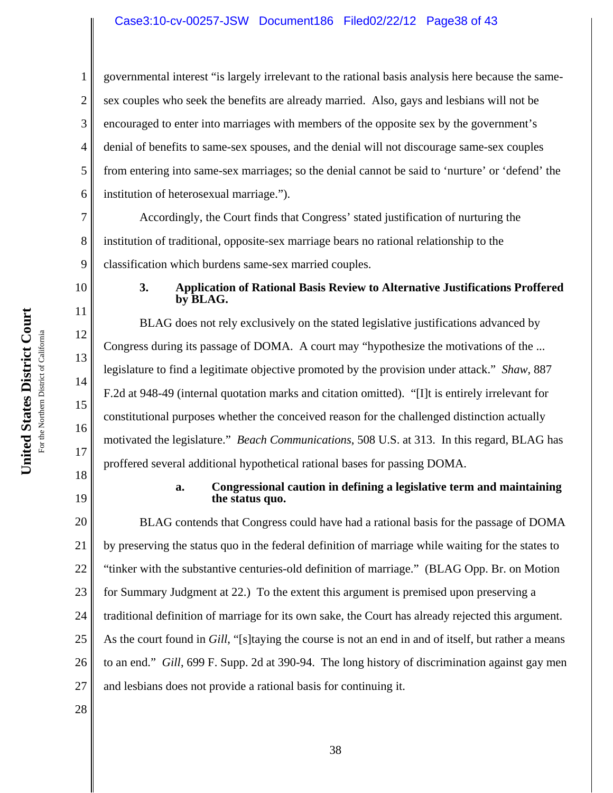# Case3:10-cv-00257-JSW Document186 Filed02/22/12 Page38 of 43

governmental interest "is largely irrelevant to the rational basis analysis here because the samesex couples who seek the benefits are already married. Also, gays and lesbians will not be encouraged to enter into marriages with members of the opposite sex by the government's denial of benefits to same-sex spouses, and the denial will not discourage same-sex couples from entering into same-sex marriages; so the denial cannot be said to 'nurture' or 'defend' the institution of heterosexual marriage.").

7 8 9 Accordingly, the Court finds that Congress' stated justification of nurturing the institution of traditional, opposite-sex marriage bears no rational relationship to the classification which burdens same-sex married couples.

# 10

11

12

13

14

15

16

17

1

2

3

4

5

6

### **3. Application of Rational Basis Review to Alternative Justifications Proffered by BLAG.**

BLAG does not rely exclusively on the stated legislative justifications advanced by Congress during its passage of DOMA. A court may "hypothesize the motivations of the ... legislature to find a legitimate objective promoted by the provision under attack." *Shaw*, 887 F.2d at 948-49 (internal quotation marks and citation omitted). "[I]t is entirely irrelevant for constitutional purposes whether the conceived reason for the challenged distinction actually motivated the legislature." *Beach Communications*, 508 U.S. at 313. In this regard, BLAG has proffered several additional hypothetical rational bases for passing DOMA.

18 19

**United States District Court** For the Northern District of California

United States District Court For the Northern District of California

# **a. Congressional caution in defining a legislative term and maintaining the status quo.**

20 21 22 23 24 25 26 27 BLAG contends that Congress could have had a rational basis for the passage of DOMA by preserving the status quo in the federal definition of marriage while waiting for the states to "tinker with the substantive centuries-old definition of marriage." (BLAG Opp. Br. on Motion for Summary Judgment at 22.) To the extent this argument is premised upon preserving a traditional definition of marriage for its own sake, the Court has already rejected this argument. As the court found in *Gill*, "[s]taying the course is not an end in and of itself, but rather a means to an end." *Gill*, 699 F. Supp. 2d at 390-94. The long history of discrimination against gay men and lesbians does not provide a rational basis for continuing it.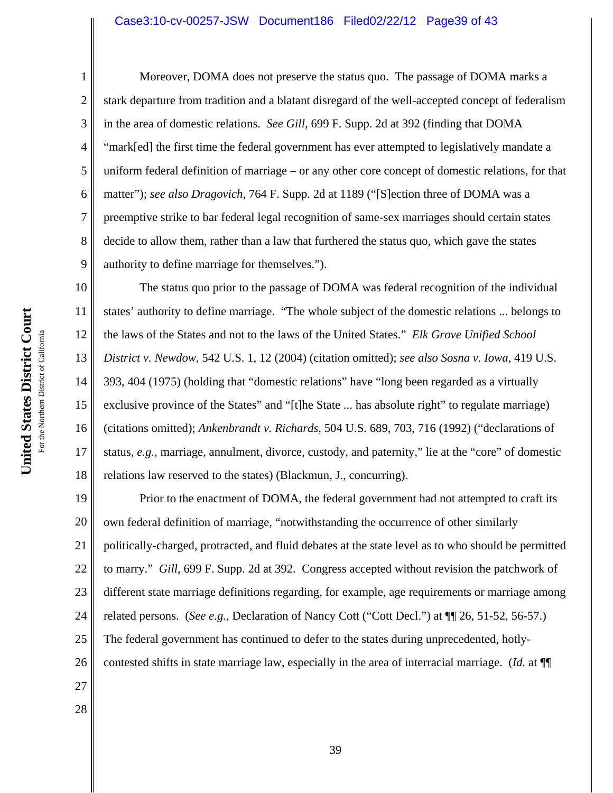#### Case3:10-cv-00257-JSW Document186 Filed02/22/12 Page39 of 43

Moreover, DOMA does not preserve the status quo. The passage of DOMA marks a stark departure from tradition and a blatant disregard of the well-accepted concept of federalism in the area of domestic relations. *See Gill*, 699 F. Supp. 2d at 392 (finding that DOMA "mark[ed] the first time the federal government has ever attempted to legislatively mandate a uniform federal definition of marriage – or any other core concept of domestic relations, for that matter"); *see also Dragovich*, 764 F. Supp. 2d at 1189 ("[S]ection three of DOMA was a preemptive strike to bar federal legal recognition of same-sex marriages should certain states decide to allow them, rather than a law that furthered the status quo, which gave the states authority to define marriage for themselves.").

10 11 12 13 14 15 16 17 18 The status quo prior to the passage of DOMA was federal recognition of the individual states' authority to define marriage. "The whole subject of the domestic relations ... belongs to the laws of the States and not to the laws of the United States." *Elk Grove Unified School District v. Newdow*, 542 U.S. 1, 12 (2004) (citation omitted); *see also Sosna v. Iowa*, 419 U.S. 393, 404 (1975) (holding that "domestic relations" have "long been regarded as a virtually exclusive province of the States" and "[t]he State ... has absolute right" to regulate marriage) (citations omitted); *Ankenbrandt v. Richards*, 504 U.S. 689, 703, 716 (1992) ("declarations of status, *e.g.*, marriage, annulment, divorce, custody, and paternity," lie at the "core" of domestic relations law reserved to the states) (Blackmun, J., concurring).

19 20 21 22 23 24 25 26 27 Prior to the enactment of DOMA, the federal government had not attempted to craft its own federal definition of marriage, "notwithstanding the occurrence of other similarly politically-charged, protracted, and fluid debates at the state level as to who should be permitted to marry." *Gill*, 699 F. Supp. 2d at 392. Congress accepted without revision the patchwork of different state marriage definitions regarding, for example, age requirements or marriage among related persons. (*See e.g.,* Declaration of Nancy Cott ("Cott Decl.") at ¶¶ 26, 51-52, 56-57.) The federal government has continued to defer to the states during unprecedented, hotlycontested shifts in state marriage law, especially in the area of interracial marriage. (*Id.* at ¶¶

United States District Court **United States District Court** For the Northern District of California For the Northern District of California 1

2

3

4

5

6

7

8

9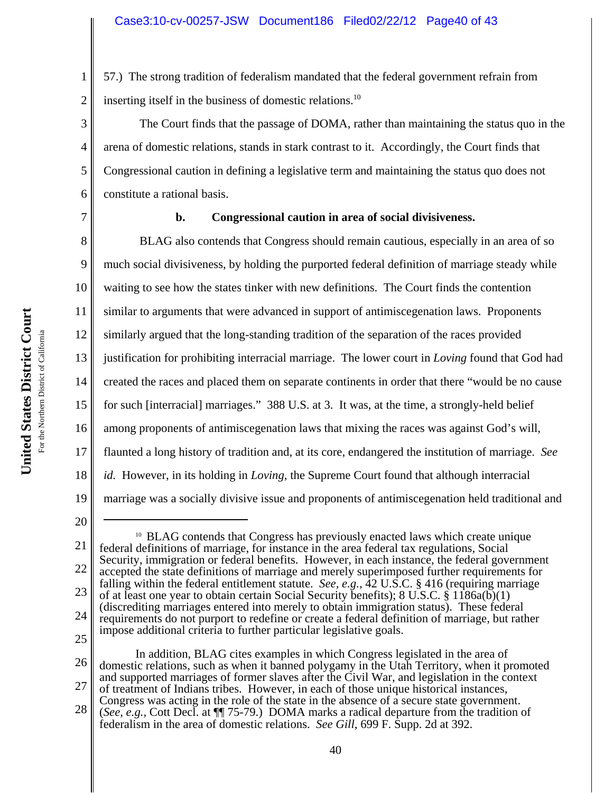2 57.) The strong tradition of federalism mandated that the federal government refrain from inserting itself in the business of domestic relations.<sup>10</sup>

The Court finds that the passage of DOMA, rather than maintaining the status quo in the arena of domestic relations, stands in stark contrast to it. Accordingly, the Court finds that Congressional caution in defining a legislative term and maintaining the status quo does not constitute a rational basis.

7

1

3

4

5

6

# **b. Congressional caution in area of social divisiveness.**

8 9 10 11 12 13 14 15 16 17 18 19 BLAG also contends that Congress should remain cautious, especially in an area of so much social divisiveness, by holding the purported federal definition of marriage steady while waiting to see how the states tinker with new definitions. The Court finds the contention similar to arguments that were advanced in support of antimiscegenation laws. Proponents similarly argued that the long-standing tradition of the separation of the races provided justification for prohibiting interracial marriage. The lower court in *Loving* found that God had created the races and placed them on separate continents in order that there "would be no cause for such [interracial] marriages." 388 U.S. at 3. It was, at the time, a strongly-held belief among proponents of antimiscegenation laws that mixing the races was against God's will, flaunted a long history of tradition and, at its core, endangered the institution of marriage. *See id.* However, in its holding in *Loving*, the Supreme Court found that although interracial marriage was a socially divisive issue and proponents of antimiscegenation held traditional and

<sup>20</sup>

<sup>21</sup> 22 23 24 25  $10$  BLAG contends that Congress has previously enacted laws which create unique federal definitions of marriage, for instance in the area federal tax regulations, Social Security, immigration or federal benefits. However, in each instance, the federal government accepted the state definitions of marriage and merely superimposed further requirements for falling within the federal entitlement statute. *See, e.g.,* 42 U.S.C. § 416 (requiring marriage of at least one year to obtain certain Social Security benefits); 8 U.S.C. § 1186a(b)(1) (discrediting marriages entered into merely to obtain immigration status). These federal requirements do not purport to redefine or create a federal definition of marriage, but rather impose additional criteria to further particular legislative goals.

<sup>26</sup> 27 In addition, BLAG cites examples in which Congress legislated in the area of domestic relations, such as when it banned polygamy in the Utah Territory, when it promoted and supported marriages of former slaves after the Civil War, and legislation in the context of treatment of Indians tribes. However, in each of those unique historical instances,

<sup>28</sup> Congress was acting in the role of the state in the absence of a secure state government. (*See, e.g.,* Cott Decl. at ¶¶ 75-79.) DOMA marks a radical departure from the tradition of federalism in the area of domestic relations. *See Gill*, 699 F. Supp. 2d at 392.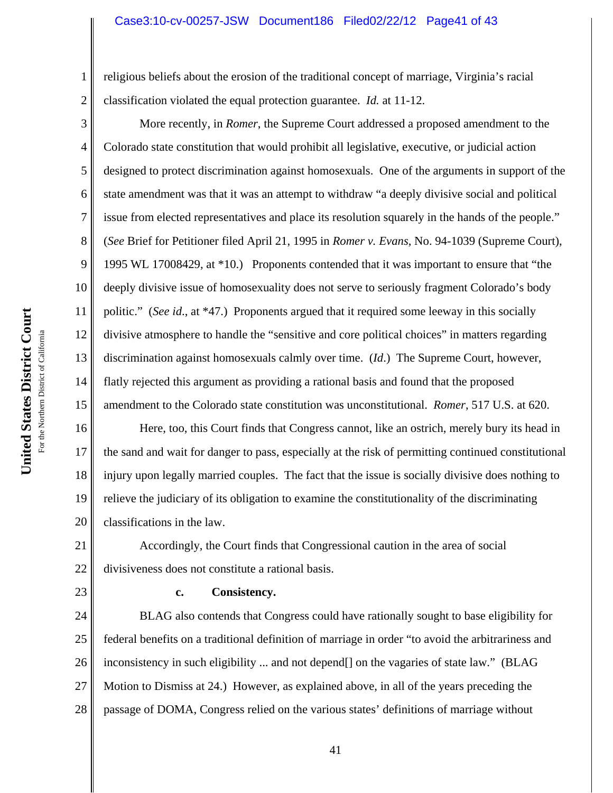#### Case3:10-cv-00257-JSW Document186 Filed02/22/12 Page41 of 43

2 religious beliefs about the erosion of the traditional concept of marriage, Virginia's racial classification violated the equal protection guarantee. *Id.* at 11-12.

3 4 5 6 7 8 9 10 11 12 13 14 15 More recently, in *Romer*, the Supreme Court addressed a proposed amendment to the Colorado state constitution that would prohibit all legislative, executive, or judicial action designed to protect discrimination against homosexuals. One of the arguments in support of the state amendment was that it was an attempt to withdraw "a deeply divisive social and political issue from elected representatives and place its resolution squarely in the hands of the people." (*See* Brief for Petitioner filed April 21, 1995 in *Romer v. Evans*, No. 94-1039 (Supreme Court), 1995 WL 17008429, at \*10.) Proponents contended that it was important to ensure that "the deeply divisive issue of homosexuality does not serve to seriously fragment Colorado's body politic." (*See id*., at \*47.) Proponents argued that it required some leeway in this socially divisive atmosphere to handle the "sensitive and core political choices" in matters regarding discrimination against homosexuals calmly over time. (*Id*.) The Supreme Court, however, flatly rejected this argument as providing a rational basis and found that the proposed amendment to the Colorado state constitution was unconstitutional. *Romer*, 517 U.S. at 620.

16 17 18 19 20 Here, too, this Court finds that Congress cannot, like an ostrich, merely bury its head in the sand and wait for danger to pass, especially at the risk of permitting continued constitutional injury upon legally married couples. The fact that the issue is socially divisive does nothing to relieve the judiciary of its obligation to examine the constitutionality of the discriminating classifications in the law.

21 22 Accordingly, the Court finds that Congressional caution in the area of social divisiveness does not constitute a rational basis.

23

1

#### **c. Consistency.**

24 25 26 27 28 BLAG also contends that Congress could have rationally sought to base eligibility for federal benefits on a traditional definition of marriage in order "to avoid the arbitrariness and inconsistency in such eligibility ... and not depend[] on the vagaries of state law." (BLAG Motion to Dismiss at 24.) However, as explained above, in all of the years preceding the passage of DOMA, Congress relied on the various states' definitions of marriage without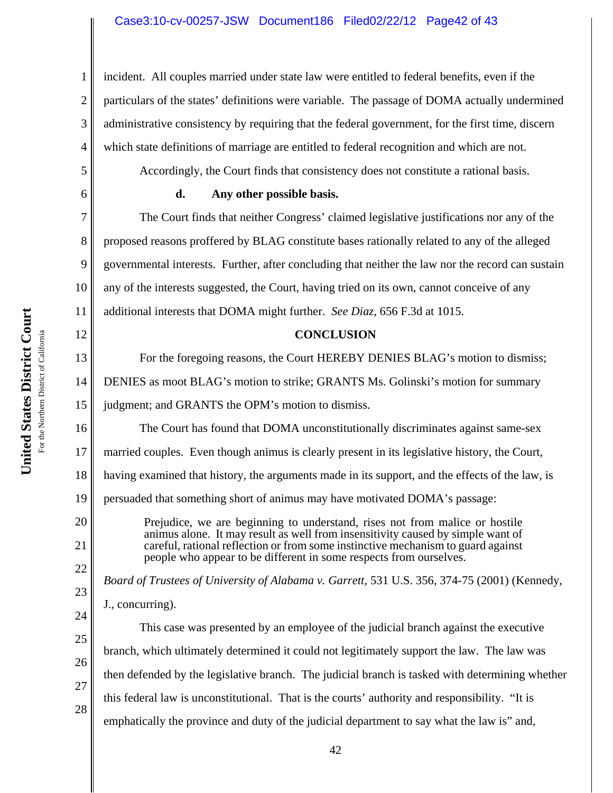# Case3:10-cv-00257-JSW Document186 Filed02/22/12 Page42 of 43

incident. All couples married under state law were entitled to federal benefits, even if the particulars of the states' definitions were variable. The passage of DOMA actually undermined administrative consistency by requiring that the federal government, for the first time, discern which state definitions of marriage are entitled to federal recognition and which are not.

Accordingly, the Court finds that consistency does not constitute a rational basis.

# **d. Any other possible basis.**

The Court finds that neither Congress' claimed legislative justifications nor any of the proposed reasons proffered by BLAG constitute bases rationally related to any of the alleged governmental interests. Further, after concluding that neither the law nor the record can sustain any of the interests suggested, the Court, having tried on its own, cannot conceive of any additional interests that DOMA might further. *See Diaz*, 656 F.3d at 1015.

### **CONCLUSION**

For the foregoing reasons, the Court HEREBY DENIES BLAG's motion to dismiss;

DENIES as moot BLAG's motion to strike; GRANTS Ms. Golinski's motion for summary

15 judgment; and GRANTS the OPM's motion to dismiss.

16 17 18 19 The Court has found that DOMA unconstitutionally discriminates against same-sex married couples. Even though animus is clearly present in its legislative history, the Court, having examined that history, the arguments made in its support, and the effects of the law, is persuaded that something short of animus may have motivated DOMA's passage:

> Prejudice, we are beginning to understand, rises not from malice or hostile animus alone. It may result as well from insensitivity caused by simple want of careful, rational reflection or from some instinctive mechanism to guard against people who appear to be different in some respects from ourselves.

*Board of Trustees of University of Alabama v. Garrett*, 531 U.S. 356, 374-75 (2001) (Kennedy, J., concurring).

This case was presented by an employee of the judicial branch against the executive branch, which ultimately determined it could not legitimately support the law. The law was then defended by the legislative branch. The judicial branch is tasked with determining whether this federal law is unconstitutional. That is the courts' authority and responsibility. "It is emphatically the province and duty of the judicial department to say what the law is" and,

1

2

3

4

5

6

7

8

9

10

11

12

13

14

20

21

22

23

24

25

26

27